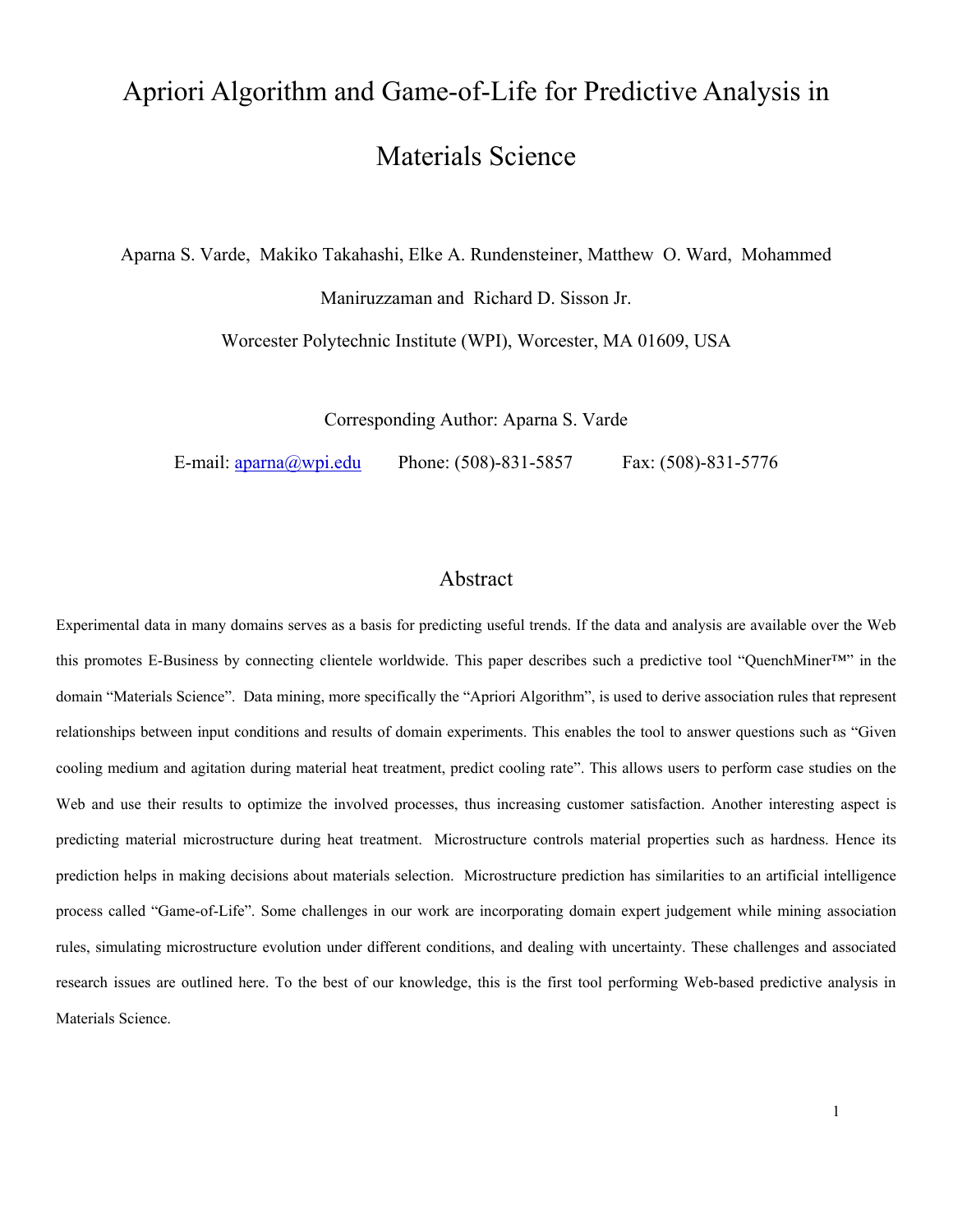# Apriori Algorithm and Game-of-Life for Predictive Analysis in Materials Science

Aparna S. Varde, Makiko Takahashi, Elke A. Rundensteiner, Matthew O. Ward, Mohammed

Maniruzzaman and Richard D. Sisson Jr.

Worcester Polytechnic Institute (WPI), Worcester, MA 01609, USA

Corresponding Author: Aparna S. Varde

E-mail: aparna@wpi.edu Phone: (508)-831-5857 Fax: (508)-831-5776

## Abstract

Experimental data in many domains serves as a basis for predicting useful trends. If the data and analysis are available over the Web this promotes E-Business by connecting clientele worldwide. This paper describes such a predictive tool "QuenchMiner™" in the domain "Materials Science". Data mining, more specifically the "Apriori Algorithm", is used to derive association rules that represent relationships between input conditions and results of domain experiments. This enables the tool to answer questions such as "Given cooling medium and agitation during material heat treatment, predict cooling rate". This allows users to perform case studies on the Web and use their results to optimize the involved processes, thus increasing customer satisfaction. Another interesting aspect is predicting material microstructure during heat treatment. Microstructure controls material properties such as hardness. Hence its prediction helps in making decisions about materials selection. Microstructure prediction has similarities to an artificial intelligence process called "Game-of-Life". Some challenges in our work are incorporating domain expert judgement while mining association rules, simulating microstructure evolution under different conditions, and dealing with uncertainty. These challenges and associated research issues are outlined here. To the best of our knowledge, this is the first tool performing Web-based predictive analysis in Materials Science.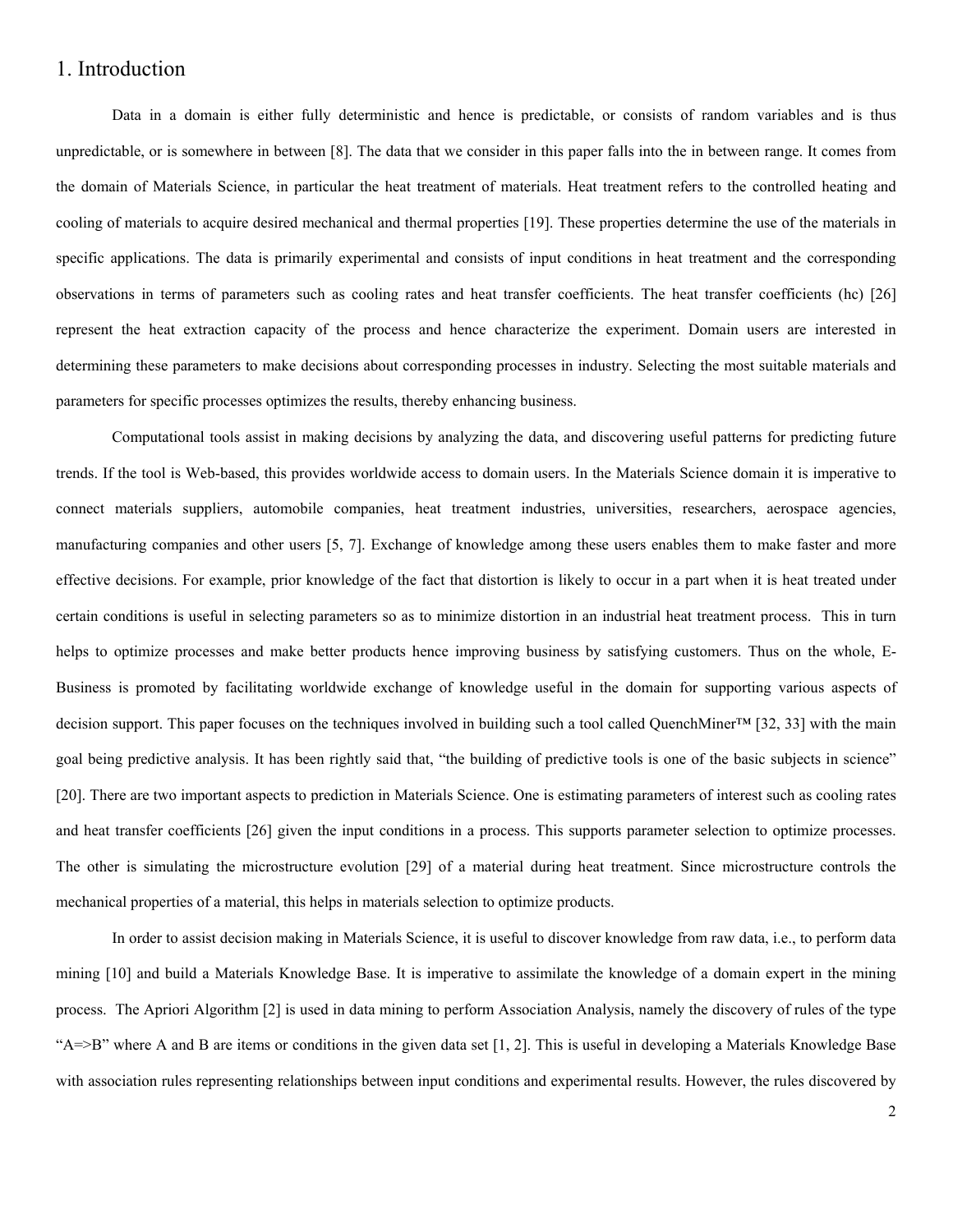## 1. Introduction

Data in a domain is either fully deterministic and hence is predictable, or consists of random variables and is thus unpredictable, or is somewhere in between [8]. The data that we consider in this paper falls into the in between range. It comes from the domain of Materials Science, in particular the heat treatment of materials. Heat treatment refers to the controlled heating and cooling of materials to acquire desired mechanical and thermal properties [19]. These properties determine the use of the materials in specific applications. The data is primarily experimental and consists of input conditions in heat treatment and the corresponding observations in terms of parameters such as cooling rates and heat transfer coefficients. The heat transfer coefficients (hc) [26] represent the heat extraction capacity of the process and hence characterize the experiment. Domain users are interested in determining these parameters to make decisions about corresponding processes in industry. Selecting the most suitable materials and parameters for specific processes optimizes the results, thereby enhancing business.

Computational tools assist in making decisions by analyzing the data, and discovering useful patterns for predicting future trends. If the tool is Web-based, this provides worldwide access to domain users. In the Materials Science domain it is imperative to connect materials suppliers, automobile companies, heat treatment industries, universities, researchers, aerospace agencies, manufacturing companies and other users [5, 7]. Exchange of knowledge among these users enables them to make faster and more effective decisions. For example, prior knowledge of the fact that distortion is likely to occur in a part when it is heat treated under certain conditions is useful in selecting parameters so as to minimize distortion in an industrial heat treatment process. This in turn helps to optimize processes and make better products hence improving business by satisfying customers. Thus on the whole, E-Business is promoted by facilitating worldwide exchange of knowledge useful in the domain for supporting various aspects of decision support. This paper focuses on the techniques involved in building such a tool called QuenchMiner™ [32, 33] with the main goal being predictive analysis. It has been rightly said that, "the building of predictive tools is one of the basic subjects in science" [20]. There are two important aspects to prediction in Materials Science. One is estimating parameters of interest such as cooling rates and heat transfer coefficients [26] given the input conditions in a process. This supports parameter selection to optimize processes. The other is simulating the microstructure evolution [29] of a material during heat treatment. Since microstructure controls the mechanical properties of a material, this helps in materials selection to optimize products.

In order to assist decision making in Materials Science, it is useful to discover knowledge from raw data, i.e., to perform data mining [10] and build a Materials Knowledge Base. It is imperative to assimilate the knowledge of a domain expert in the mining process. The Apriori Algorithm [2] is used in data mining to perform Association Analysis, namely the discovery of rules of the type "A=>B" where A and B are items or conditions in the given data set [1, 2]. This is useful in developing a Materials Knowledge Base with association rules representing relationships between input conditions and experimental results. However, the rules discovered by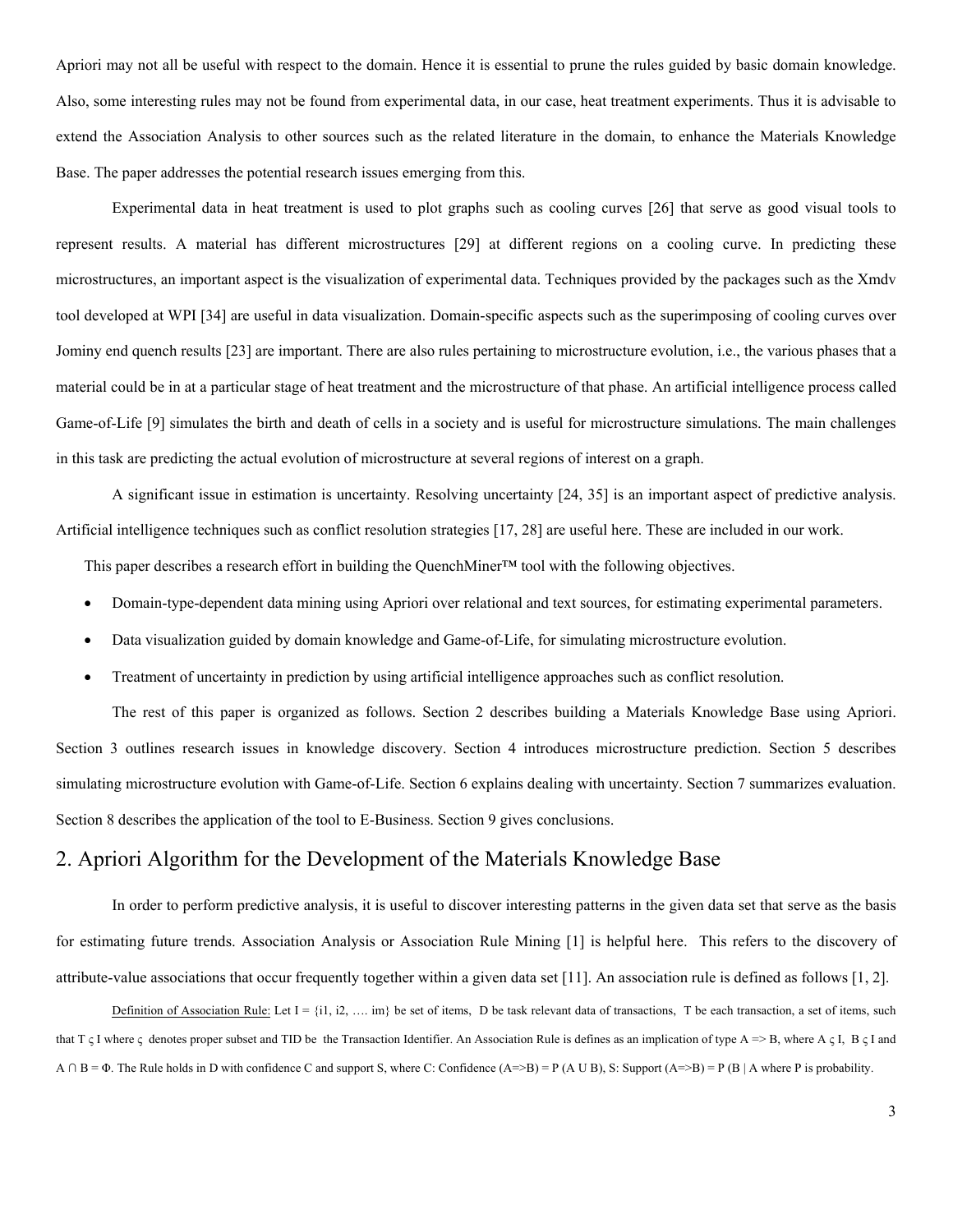Apriori may not all be useful with respect to the domain. Hence it is essential to prune the rules guided by basic domain knowledge. Also, some interesting rules may not be found from experimental data, in our case, heat treatment experiments. Thus it is advisable to extend the Association Analysis to other sources such as the related literature in the domain, to enhance the Materials Knowledge Base. The paper addresses the potential research issues emerging from this.

Experimental data in heat treatment is used to plot graphs such as cooling curves [26] that serve as good visual tools to represent results. A material has different microstructures [29] at different regions on a cooling curve. In predicting these microstructures, an important aspect is the visualization of experimental data. Techniques provided by the packages such as the Xmdv tool developed at WPI [34] are useful in data visualization. Domain-specific aspects such as the superimposing of cooling curves over Jominy end quench results [23] are important. There are also rules pertaining to microstructure evolution, i.e., the various phases that a material could be in at a particular stage of heat treatment and the microstructure of that phase. An artificial intelligence process called Game-of-Life [9] simulates the birth and death of cells in a society and is useful for microstructure simulations. The main challenges in this task are predicting the actual evolution of microstructure at several regions of interest on a graph.

A significant issue in estimation is uncertainty. Resolving uncertainty [24, 35] is an important aspect of predictive analysis. Artificial intelligence techniques such as conflict resolution strategies [17, 28] are useful here. These are included in our work.

This paper describes a research effort in building the QuenchMiner™ tool with the following objectives.

- Domain-type-dependent data mining using Apriori over relational and text sources, for estimating experimental parameters.
- Data visualization guided by domain knowledge and Game-of-Life, for simulating microstructure evolution.
- Treatment of uncertainty in prediction by using artificial intelligence approaches such as conflict resolution.

The rest of this paper is organized as follows. Section 2 describes building a Materials Knowledge Base using Apriori. Section 3 outlines research issues in knowledge discovery. Section 4 introduces microstructure prediction. Section 5 describes simulating microstructure evolution with Game-of-Life. Section 6 explains dealing with uncertainty. Section 7 summarizes evaluation. Section 8 describes the application of the tool to E-Business. Section 9 gives conclusions.

## 2. Apriori Algorithm for the Development of the Materials Knowledge Base

In order to perform predictive analysis, it is useful to discover interesting patterns in the given data set that serve as the basis for estimating future trends. Association Analysis or Association Rule Mining [1] is helpful here. This refers to the discovery of attribute-value associations that occur frequently together within a given data set [11]. An association rule is defined as follows [1, 2].

Definition of Association Rule: Let  $I = \{i1, i2, \ldots \text{im}\}\$ be set of items, D be task relevant data of transactions, T be each transaction, a set of items, such that T  $\varsigma$  I where  $\varsigma$  denotes proper subset and TID be the Transaction Identifier. An Association Rule is defines as an implication of type A => B, where A  $\varsigma$  I, B  $\varsigma$  I and  $A \cap B = \Phi$ . The Rule holds in D with confidence C and support S, where C: Confidence  $(A\Rightarrow B) = P(A \cup B)$ , S: Support  $(A\Rightarrow B) = P(B \mid A$  where P is probability.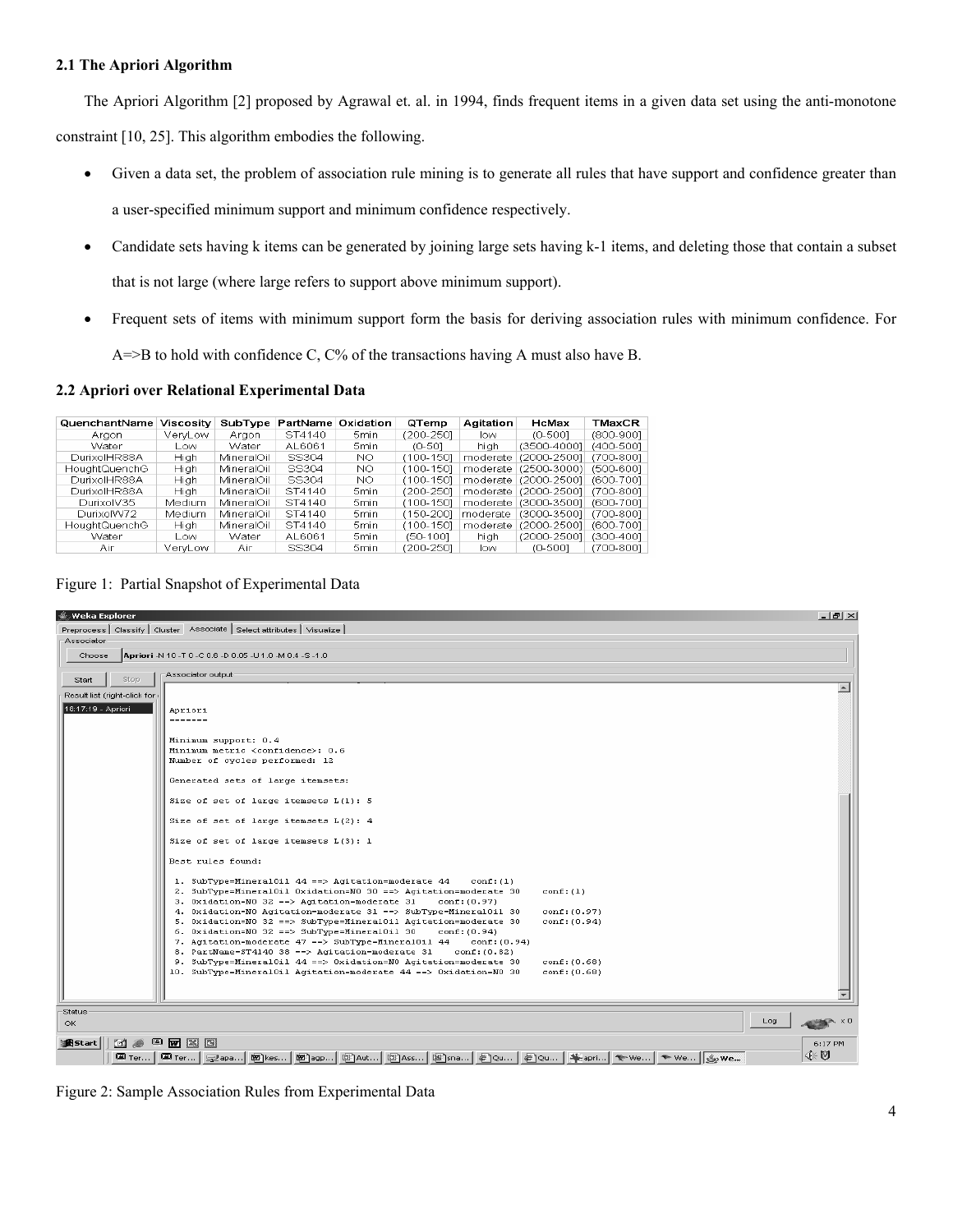#### **2.1 The Apriori Algorithm**

The Apriori Algorithm [2] proposed by Agrawal et. al. in 1994, finds frequent items in a given data set using the anti-monotone

constraint [10, 25]. This algorithm embodies the following.

• Given a data set, the problem of association rule mining is to generate all rules that have support and confidence greater than

a user-specified minimum support and minimum confidence respectively.

- Candidate sets having k items can be generated by joining large sets having k-1 items, and deleting those that contain a subset that is not large (where large refers to support above minimum support).
- Frequent sets of items with minimum support form the basis for deriving association rules with minimum confidence. For  $A = B$  to hold with confidence C,  $C\%$  of the transactions having A must also have B.

#### **2.2 Apriori over Relational Experimental Data**

| QuenchantName | <b>Viscosity</b> | SubType      | PartName | Oxidation | QTemp     | Agitation | HcMax                 | TMaxCR     |
|---------------|------------------|--------------|----------|-----------|-----------|-----------|-----------------------|------------|
| Araon         | VervLow          | Araon        | ST4140   | 5min      | (200-2501 | low       | $(0-500]$             | (800-9001  |
| Water         | Low.             | <b>Water</b> | AL6061   | 5min.     | $(0-50]$  | hiah      | (3500-40001)          | (400-500]  |
| DurixolHR88A  | Hiah             | MineralOil   | SS304    | NO.       | (100-1501 | moderate  | (2000-25001)          | (700-8001) |
| HoughtQuenchG | Hiah             | MineralOil   | SS304    | NO.       | (100-1501 | moderate  | $(2500 - 3000)$       | (500-6001) |
| DurixolHR88A  | Hiah             | MineralOil   | SS304    | NO.       | (100-1501 | moderate  | (2000-25001           | (600-7001  |
| DurixolHR88A  | Hiah             | MineralOil   | ST4140   | 5min      | (200-2501 |           | moderate (2000-25001) | (700-8001) |
| DurixolV35    | Medium           | MineralOil   | ST4140   | 5min      | (100-1501 |           | moderate (3000-35001) | (600-7001  |
| DurixolW72    | Medium           | MineralOil   | ST4140   | 5min      | (150-2001 | moderate  | $(3000 - 3500]$       | (700-8001) |
| HoughtQuenchG | Hiah             | MineralOil   | ST4140   | 5min.     | (100-1501 | moderate  | (2000-25001)          | (600-7001) |
| Water         | l ow             | Water        | AL6061   | 5min.     | (50-1001  | hiah      | $(2000 - 2500]$       | (300-4001  |
| Air           | VervLow          | Air          | SS304    | 5min      | (200-2501 | low       | $(0-500]$             | (700-8001  |

Figure 1: Partial Snapshot of Experimental Data



Figure 2: Sample Association Rules from Experimental Data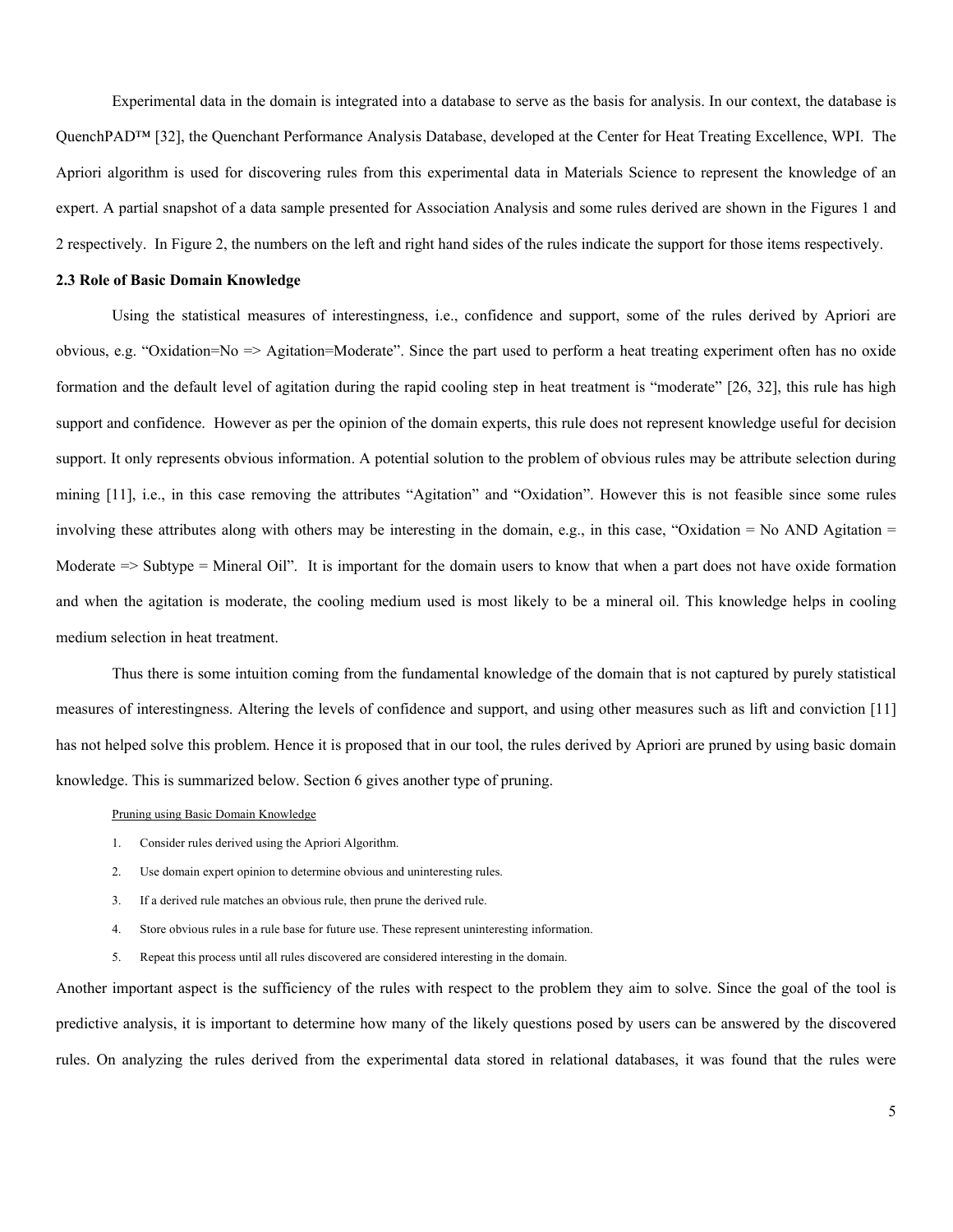Experimental data in the domain is integrated into a database to serve as the basis for analysis. In our context, the database is QuenchPAD™ [32], the Quenchant Performance Analysis Database, developed at the Center for Heat Treating Excellence, WPI. The Apriori algorithm is used for discovering rules from this experimental data in Materials Science to represent the knowledge of an expert. A partial snapshot of a data sample presented for Association Analysis and some rules derived are shown in the Figures 1 and 2 respectively. In Figure 2, the numbers on the left and right hand sides of the rules indicate the support for those items respectively.

#### **2.3 Role of Basic Domain Knowledge**

Using the statistical measures of interestingness, i.e., confidence and support, some of the rules derived by Apriori are obvious, e.g. "Oxidation=No => Agitation=Moderate". Since the part used to perform a heat treating experiment often has no oxide formation and the default level of agitation during the rapid cooling step in heat treatment is "moderate" [26, 32], this rule has high support and confidence. However as per the opinion of the domain experts, this rule does not represent knowledge useful for decision support. It only represents obvious information. A potential solution to the problem of obvious rules may be attribute selection during mining [11], i.e., in this case removing the attributes "Agitation" and "Oxidation". However this is not feasible since some rules involving these attributes along with others may be interesting in the domain, e.g., in this case, "Oxidation = No AND Agitation = Moderate  $\Rightarrow$  Subtype = Mineral Oil". It is important for the domain users to know that when a part does not have oxide formation and when the agitation is moderate, the cooling medium used is most likely to be a mineral oil. This knowledge helps in cooling medium selection in heat treatment.

Thus there is some intuition coming from the fundamental knowledge of the domain that is not captured by purely statistical measures of interestingness. Altering the levels of confidence and support, and using other measures such as lift and conviction [11] has not helped solve this problem. Hence it is proposed that in our tool, the rules derived by Apriori are pruned by using basic domain knowledge. This is summarized below. Section 6 gives another type of pruning.

#### Pruning using Basic Domain Knowledge

- 1. Consider rules derived using the Apriori Algorithm.
- 2. Use domain expert opinion to determine obvious and uninteresting rules.
- 3. If a derived rule matches an obvious rule, then prune the derived rule.
- 4. Store obvious rules in a rule base for future use. These represent uninteresting information.
- 5. Repeat this process until all rules discovered are considered interesting in the domain.

Another important aspect is the sufficiency of the rules with respect to the problem they aim to solve. Since the goal of the tool is predictive analysis, it is important to determine how many of the likely questions posed by users can be answered by the discovered rules. On analyzing the rules derived from the experimental data stored in relational databases, it was found that the rules were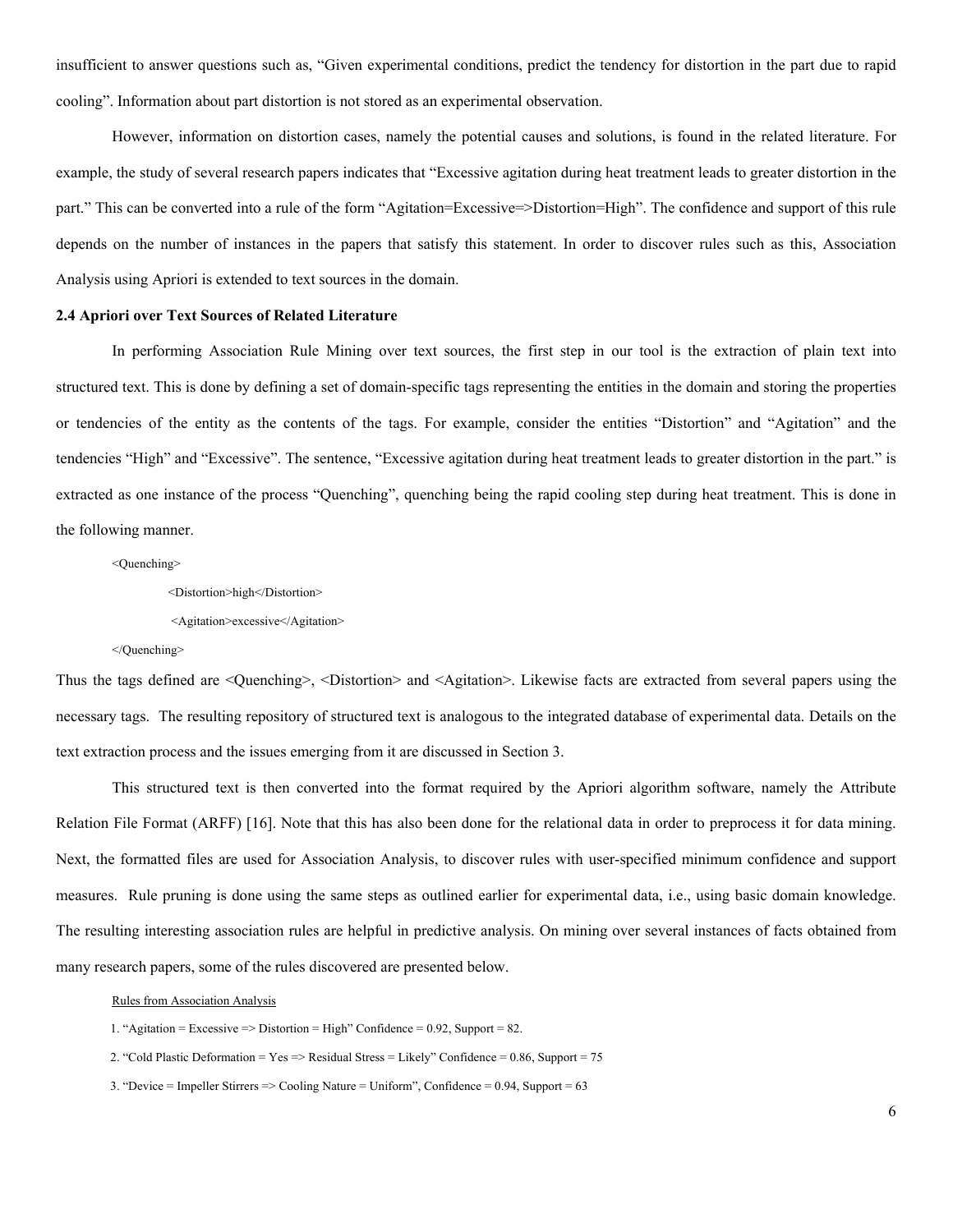insufficient to answer questions such as, "Given experimental conditions, predict the tendency for distortion in the part due to rapid cooling". Information about part distortion is not stored as an experimental observation.

However, information on distortion cases, namely the potential causes and solutions, is found in the related literature. For example, the study of several research papers indicates that "Excessive agitation during heat treatment leads to greater distortion in the part." This can be converted into a rule of the form "Agitation=Excessive=>Distortion=High". The confidence and support of this rule depends on the number of instances in the papers that satisfy this statement. In order to discover rules such as this, Association Analysis using Apriori is extended to text sources in the domain.

#### **2.4 Apriori over Text Sources of Related Literature**

In performing Association Rule Mining over text sources, the first step in our tool is the extraction of plain text into structured text. This is done by defining a set of domain-specific tags representing the entities in the domain and storing the properties or tendencies of the entity as the contents of the tags. For example, consider the entities "Distortion" and "Agitation" and the tendencies "High" and "Excessive". The sentence, "Excessive agitation during heat treatment leads to greater distortion in the part." is extracted as one instance of the process "Quenching", quenching being the rapid cooling step during heat treatment. This is done in the following manner.

<Quenching>

<Distortion>high</Distortion>

<Agitation>excessive</Agitation>

</Quenching>

Thus the tags defined are <Quenching>, <Distortion> and <Agitation>. Likewise facts are extracted from several papers using the necessary tags. The resulting repository of structured text is analogous to the integrated database of experimental data. Details on the text extraction process and the issues emerging from it are discussed in Section 3.

This structured text is then converted into the format required by the Apriori algorithm software, namely the Attribute Relation File Format (ARFF) [16]. Note that this has also been done for the relational data in order to preprocess it for data mining. Next, the formatted files are used for Association Analysis, to discover rules with user-specified minimum confidence and support measures. Rule pruning is done using the same steps as outlined earlier for experimental data, i.e., using basic domain knowledge. The resulting interesting association rules are helpful in predictive analysis. On mining over several instances of facts obtained from many research papers, some of the rules discovered are presented below.

Rules from Association Analysis

- 1. "Agitation = Excessive => Distortion = High" Confidence = 0.92, Support = 82.
- 2. "Cold Plastic Deformation =  $Yes$  => Residual Stress = Likely" Confidence = 0.86, Support = 75
- 3. "Device = Impeller Stirrers => Cooling Nature = Uniform", Confidence = 0.94, Support = 63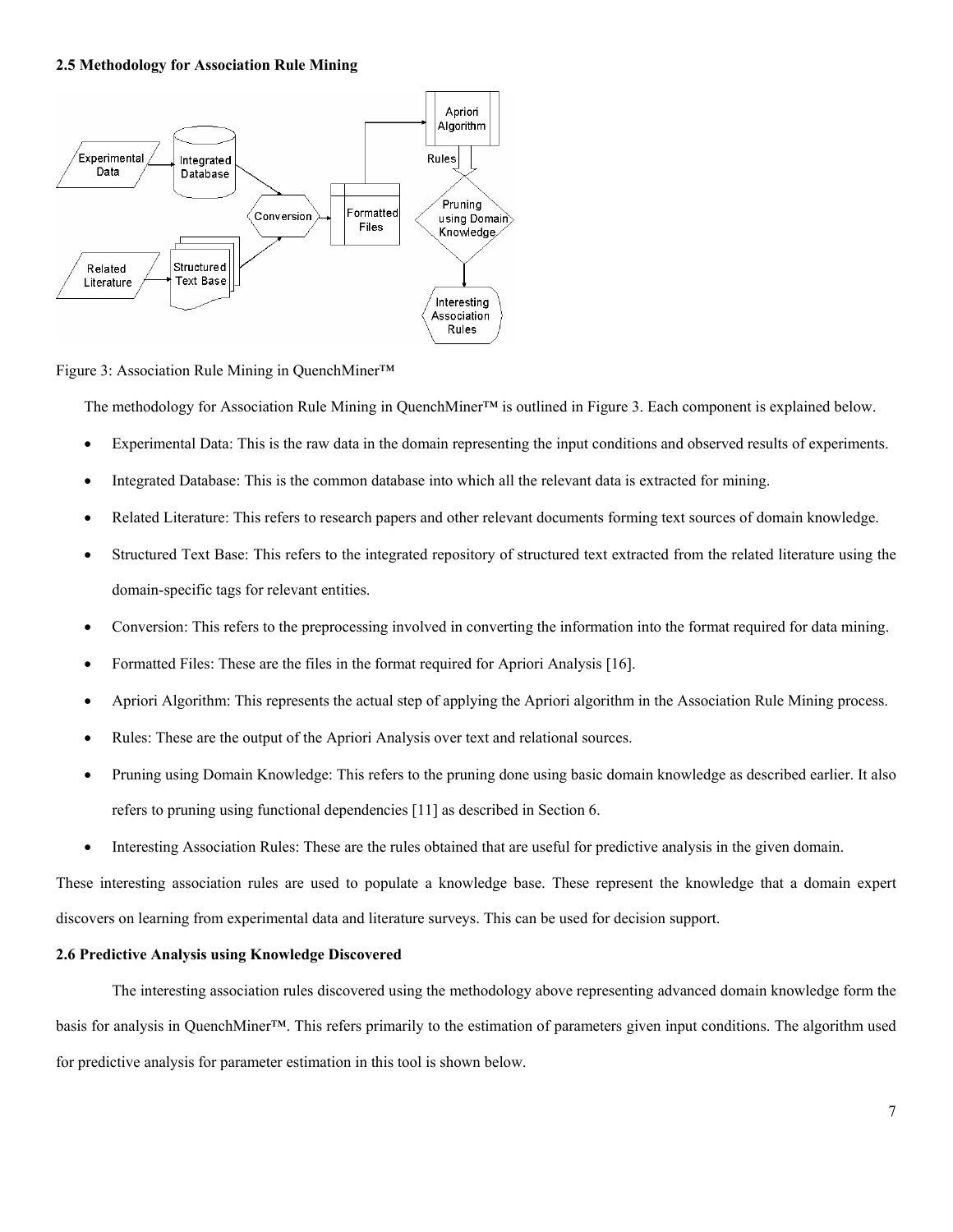### **2.5 Methodology for Association Rule Mining**



Figure 3: Association Rule Mining in QuenchMiner™

The methodology for Association Rule Mining in QuenchMiner™ is outlined in Figure 3. Each component is explained below.

- Experimental Data: This is the raw data in the domain representing the input conditions and observed results of experiments.
- Integrated Database: This is the common database into which all the relevant data is extracted for mining.
- Related Literature: This refers to research papers and other relevant documents forming text sources of domain knowledge.
- Structured Text Base: This refers to the integrated repository of structured text extracted from the related literature using the domain-specific tags for relevant entities.
- Conversion: This refers to the preprocessing involved in converting the information into the format required for data mining.
- Formatted Files: These are the files in the format required for Apriori Analysis [16].
- Apriori Algorithm: This represents the actual step of applying the Apriori algorithm in the Association Rule Mining process.
- Rules: These are the output of the Apriori Analysis over text and relational sources.
- Pruning using Domain Knowledge: This refers to the pruning done using basic domain knowledge as described earlier. It also refers to pruning using functional dependencies [11] as described in Section 6.
- Interesting Association Rules: These are the rules obtained that are useful for predictive analysis in the given domain.

These interesting association rules are used to populate a knowledge base. These represent the knowledge that a domain expert discovers on learning from experimental data and literature surveys. This can be used for decision support.

#### **2.6 Predictive Analysis using Knowledge Discovered**

The interesting association rules discovered using the methodology above representing advanced domain knowledge form the basis for analysis in QuenchMiner™. This refers primarily to the estimation of parameters given input conditions. The algorithm used for predictive analysis for parameter estimation in this tool is shown below.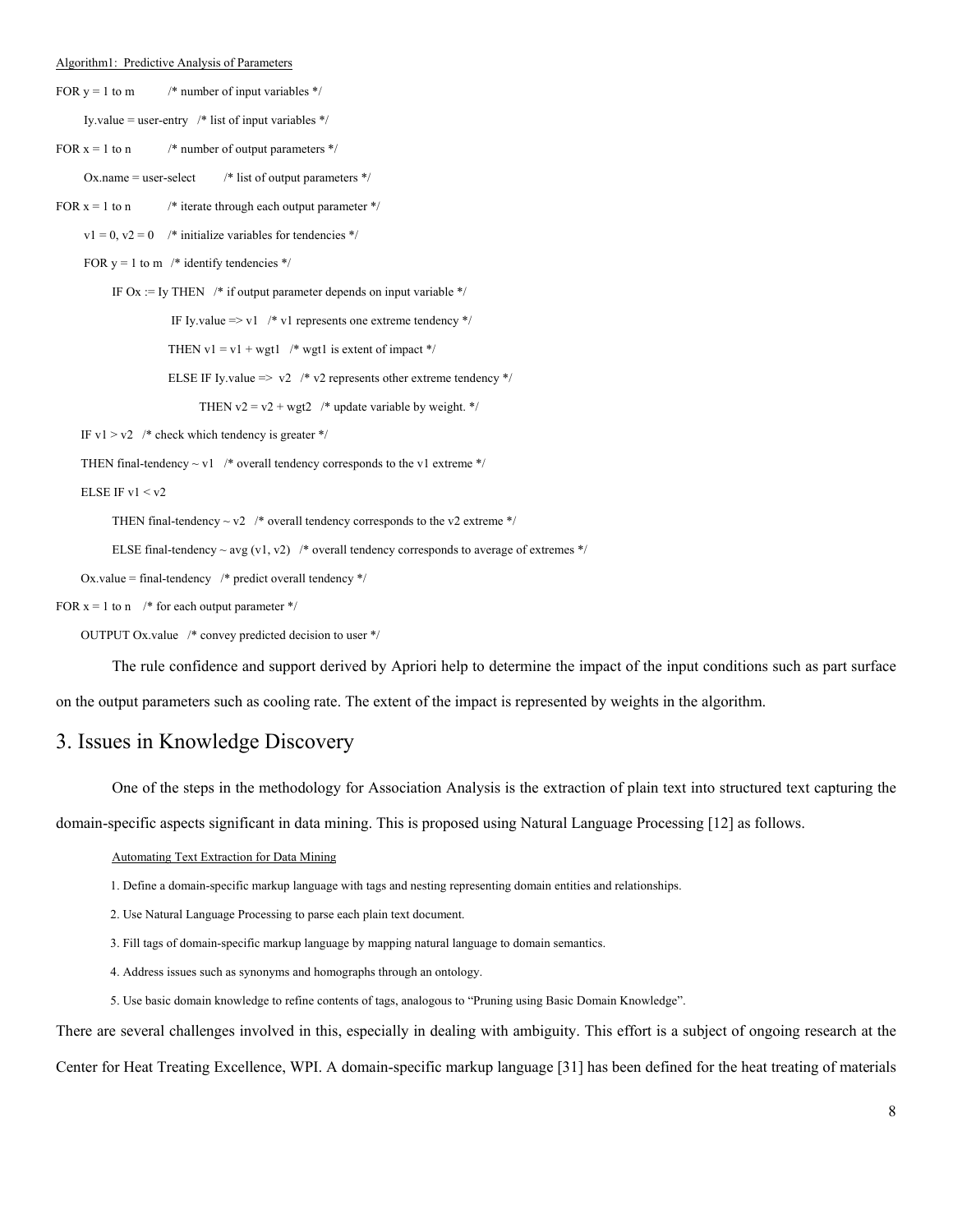#### Algorithm1: Predictive Analysis of Parameters

FOR  $y = 1$  to m  $\frac{\text{# number of input variables *}}{\text{# number of input variables}}$ 

Iy.value = user-entry /\* list of input variables \*/

FOR  $x = 1$  to n  $\frac{\pi}{2}$  number of output parameters  $\frac{k}{\pi}$ 

Ox.name = user-select  $/$ \* list of output parameters \*/

FOR  $x = 1$  to n /\* iterate through each output parameter \*/

 $v1 = 0$ ,  $v2 = 0$  /\* initialize variables for tendencies \*/

FOR  $y = 1$  to m /\* identify tendencies \*/

IF Ox := Iy THEN  $\frac{1}{\epsilon}$  if output parameter depends on input variable  $\frac{1}{\epsilon}$ 

IF Iy.value => v1 /\* v1 represents one extreme tendency \*/

THEN  $v1 = v1 + wgt1$  /\* wgt1 is extent of impact \*/

ELSE IF Iy.value  $\Rightarrow$  v2 /\* v2 represents other extreme tendency \*/

THEN  $v2 = v2 + wgt2$  /\* update variable by weight. \*/

IF v1  $>$  v2  $*$  check which tendency is greater \*/

THEN final-tendency  $\sim$  v1 /\* overall tendency corresponds to the v1 extreme \*/

#### ELSE IF v $1 < v2$

THEN final-tendency  $\sim$  v2  $\prime$ \* overall tendency corresponds to the v2 extreme \*/

ELSE final-tendency  $\sim$  avg (v1, v2) /\* overall tendency corresponds to average of extremes \*/

Ox.value = final-tendency  $\frac{*}{*}$  predict overall tendency  $\frac{*}{*}$ 

FOR  $x = 1$  to n /\* for each output parameter \*/

OUTPUT Ox.value /\* convey predicted decision to user \*/

The rule confidence and support derived by Apriori help to determine the impact of the input conditions such as part surface

on the output parameters such as cooling rate. The extent of the impact is represented by weights in the algorithm.

## 3. Issues in Knowledge Discovery

One of the steps in the methodology for Association Analysis is the extraction of plain text into structured text capturing the

domain-specific aspects significant in data mining. This is proposed using Natural Language Processing [12] as follows.

#### Automating Text Extraction for Data Mining

```
1. Define a domain-specific markup language with tags and nesting representing domain entities and relationships.
```
2. Use Natural Language Processing to parse each plain text document.

- 3. Fill tags of domain-specific markup language by mapping natural language to domain semantics.
- 4. Address issues such as synonyms and homographs through an ontology.
- 5. Use basic domain knowledge to refine contents of tags, analogous to "Pruning using Basic Domain Knowledge".

There are several challenges involved in this, especially in dealing with ambiguity. This effort is a subject of ongoing research at the Center for Heat Treating Excellence, WPI. A domain-specific markup language [31] has been defined for the heat treating of materials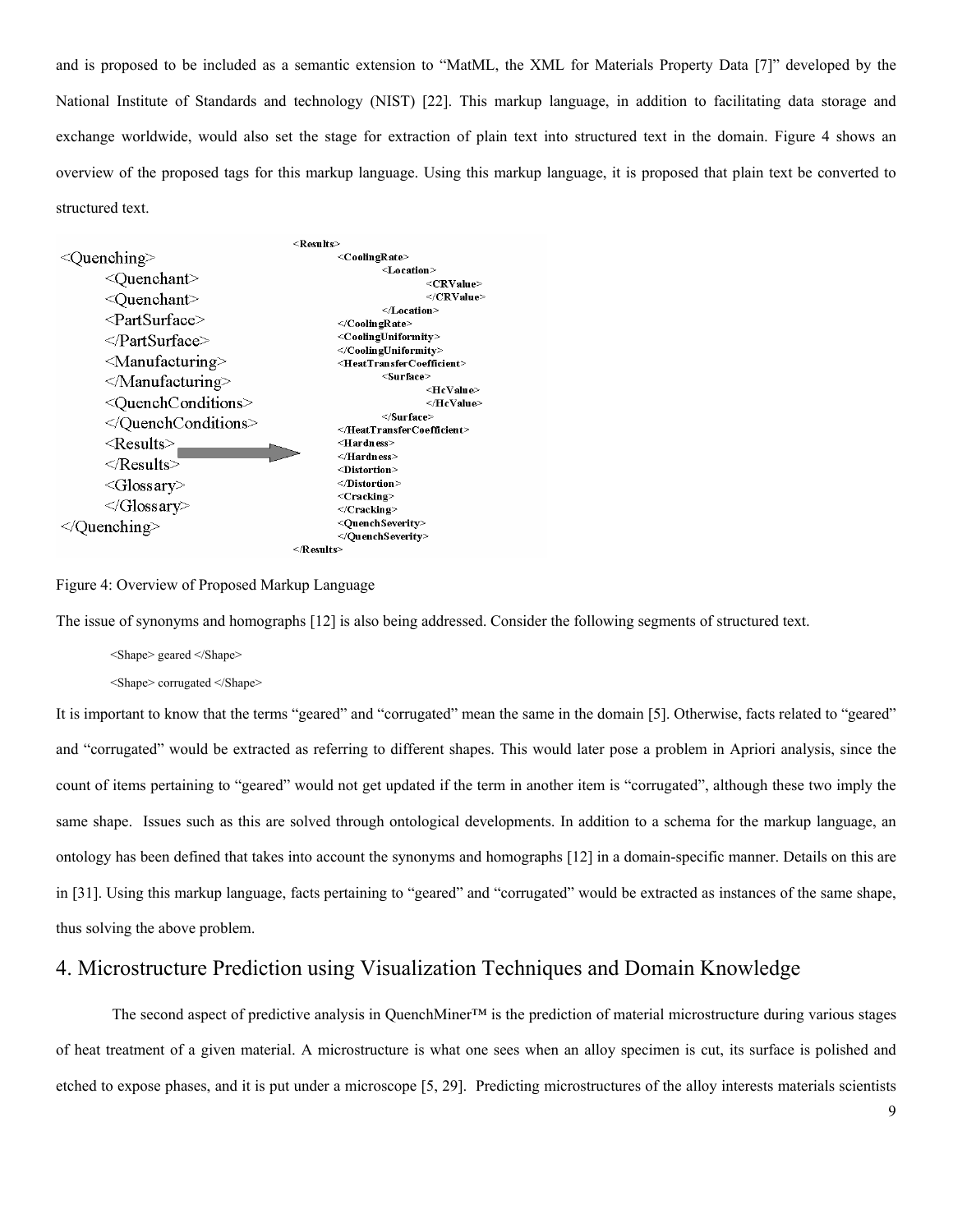and is proposed to be included as a semantic extension to "MatML, the XML for Materials Property Data [7]" developed by the National Institute of Standards and technology (NIST) [22]. This markup language, in addition to facilitating data storage and exchange worldwide, would also set the stage for extraction of plain text into structured text in the domain. Figure 4 shows an overview of the proposed tags for this markup language. Using this markup language, it is proposed that plain text be converted to structured text.



Figure 4: Overview of Proposed Markup Language

The issue of synonyms and homographs [12] is also being addressed. Consider the following segments of structured text.

<Shape> geared </Shape>

<Shape> corrugated </Shape>

It is important to know that the terms "geared" and "corrugated" mean the same in the domain [5]. Otherwise, facts related to "geared" and "corrugated" would be extracted as referring to different shapes. This would later pose a problem in Apriori analysis, since the count of items pertaining to "geared" would not get updated if the term in another item is "corrugated", although these two imply the same shape. Issues such as this are solved through ontological developments. In addition to a schema for the markup language, an ontology has been defined that takes into account the synonyms and homographs [12] in a domain-specific manner. Details on this are in [31]. Using this markup language, facts pertaining to "geared" and "corrugated" would be extracted as instances of the same shape, thus solving the above problem.

## 4. Microstructure Prediction using Visualization Techniques and Domain Knowledge

The second aspect of predictive analysis in QuenchMiner™ is the prediction of material microstructure during various stages of heat treatment of a given material. A microstructure is what one sees when an alloy specimen is cut, its surface is polished and etched to expose phases, and it is put under a microscope [5, 29]. Predicting microstructures of the alloy interests materials scientists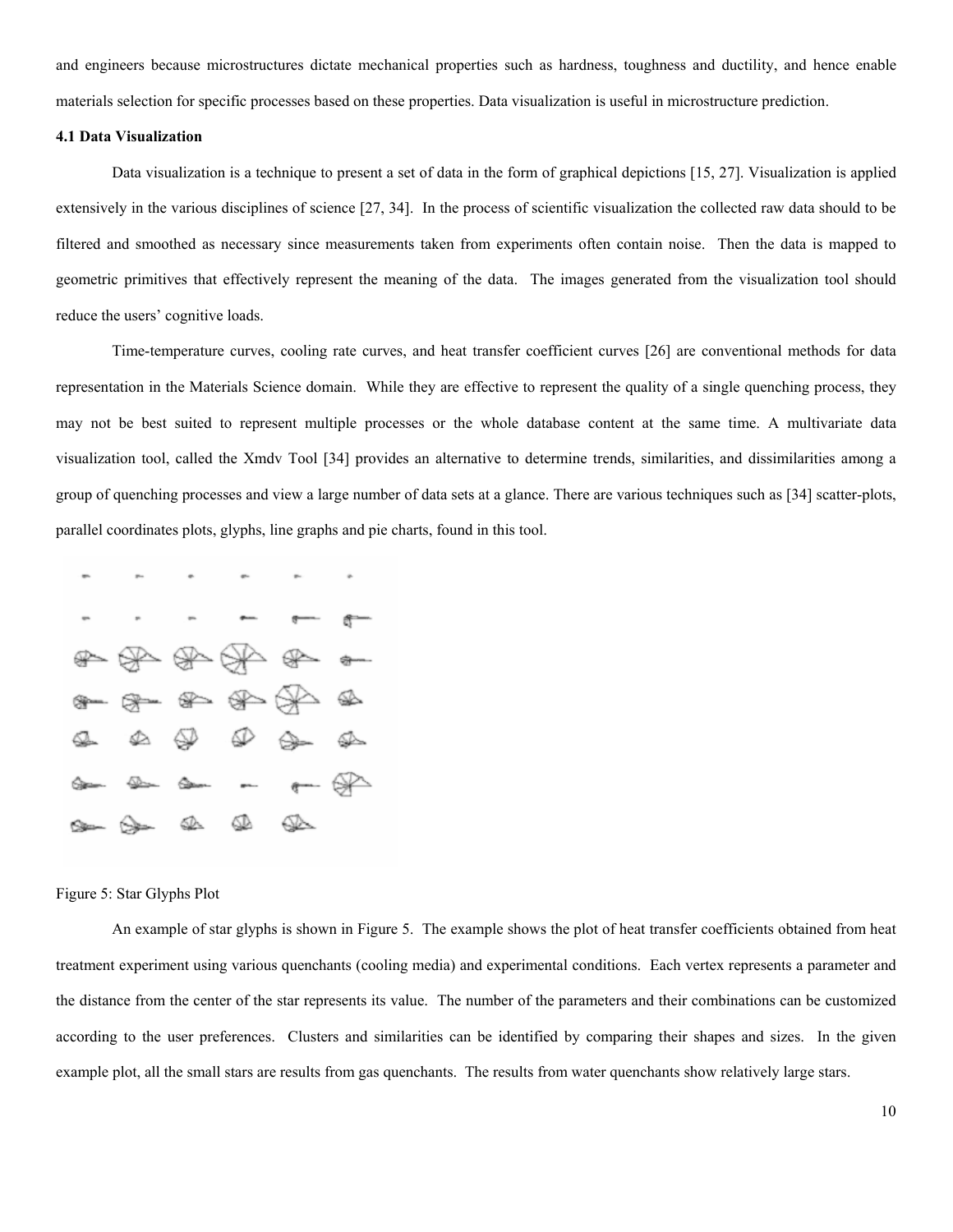and engineers because microstructures dictate mechanical properties such as hardness, toughness and ductility, and hence enable materials selection for specific processes based on these properties. Data visualization is useful in microstructure prediction.

### **4.1 Data Visualization**

Data visualization is a technique to present a set of data in the form of graphical depictions [15, 27]. Visualization is applied extensively in the various disciplines of science [27, 34]. In the process of scientific visualization the collected raw data should to be filtered and smoothed as necessary since measurements taken from experiments often contain noise. Then the data is mapped to geometric primitives that effectively represent the meaning of the data. The images generated from the visualization tool should reduce the users' cognitive loads.

Time-temperature curves, cooling rate curves, and heat transfer coefficient curves [26] are conventional methods for data representation in the Materials Science domain. While they are effective to represent the quality of a single quenching process, they may not be best suited to represent multiple processes or the whole database content at the same time. A multivariate data visualization tool, called the Xmdv Tool [34] provides an alternative to determine trends, similarities, and dissimilarities among a group of quenching processes and view a large number of data sets at a glance. There are various techniques such as [34] scatter-plots, parallel coordinates plots, glyphs, line graphs and pie charts, found in this tool.



#### Figure 5: Star Glyphs Plot

An example of star glyphs is shown in Figure 5. The example shows the plot of heat transfer coefficients obtained from heat treatment experiment using various quenchants (cooling media) and experimental conditions. Each vertex represents a parameter and the distance from the center of the star represents its value. The number of the parameters and their combinations can be customized according to the user preferences. Clusters and similarities can be identified by comparing their shapes and sizes. In the given example plot, all the small stars are results from gas quenchants. The results from water quenchants show relatively large stars.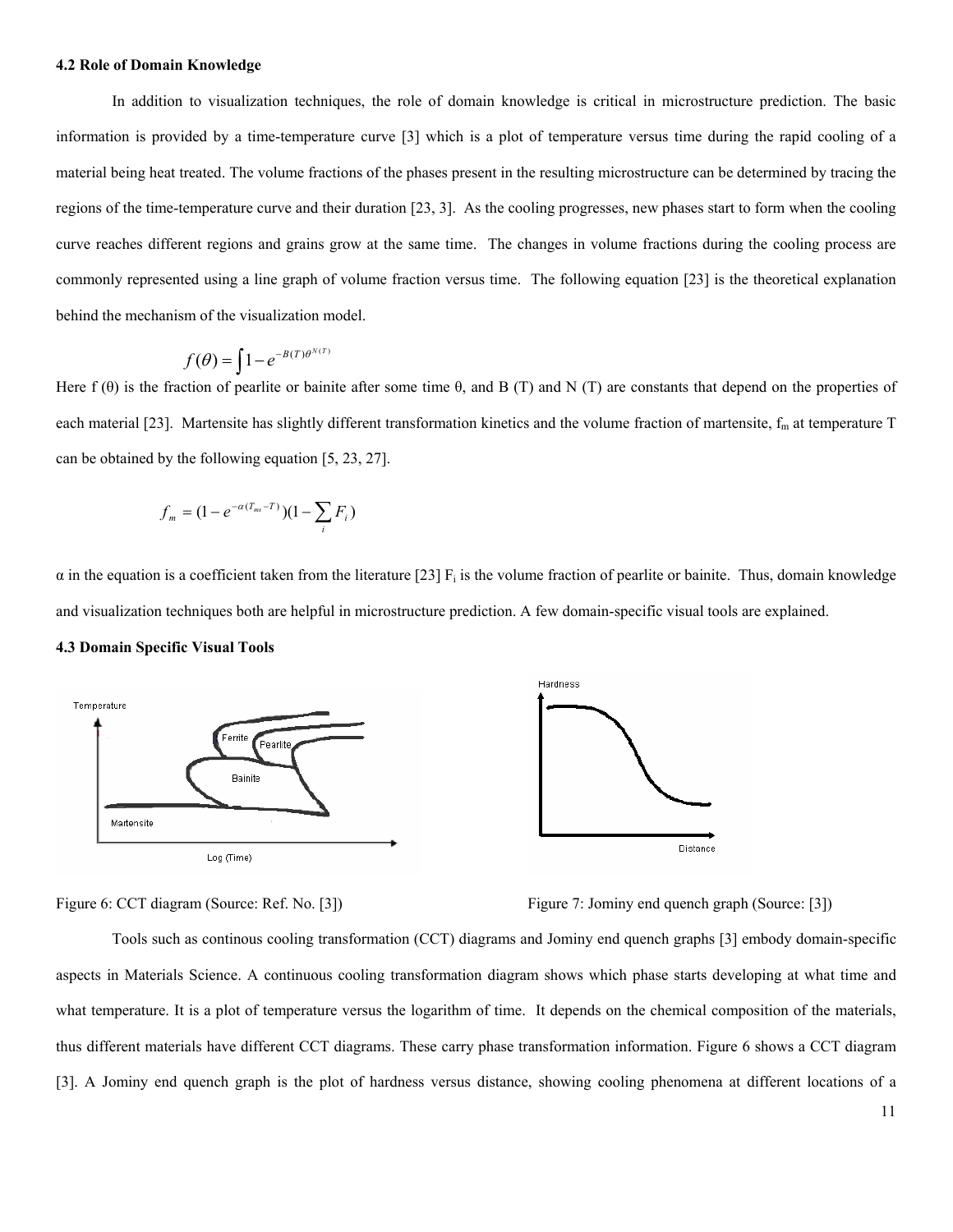#### **4.2 Role of Domain Knowledge**

In addition to visualization techniques, the role of domain knowledge is critical in microstructure prediction. The basic information is provided by a time-temperature curve [3] which is a plot of temperature versus time during the rapid cooling of a material being heat treated. The volume fractions of the phases present in the resulting microstructure can be determined by tracing the regions of the time-temperature curve and their duration [23, 3]. As the cooling progresses, new phases start to form when the cooling curve reaches different regions and grains grow at the same time. The changes in volume fractions during the cooling process are commonly represented using a line graph of volume fraction versus time. The following equation [23] is the theoretical explanation behind the mechanism of the visualization model.

$$
f(\theta) = \int 1 - e^{-B(T)\theta^{N(T)}}
$$

Here  $f(\theta)$  is the fraction of pearlite or bainite after some time  $\theta$ , and B (T) and N (T) are constants that depend on the properties of each material [23]. Martensite has slightly different transformation kinetics and the volume fraction of martensite,  $f_m$  at temperature  $T$ can be obtained by the following equation [5, 23, 27].

$$
f_m = (1 - e^{-\alpha (T_{ms} - T)}) (1 - \sum_i F_i)
$$

 $\alpha$  in the equation is a coefficient taken from the literature [23]  $F_i$  is the volume fraction of pearlite or bainite. Thus, domain knowledge and visualization techniques both are helpful in microstructure prediction. A few domain-specific visual tools are explained.

#### **4.3 Domain Specific Visual Tools**



Figure 6: CCT diagram (Source: Ref. No. [3]) Figure 7: Jominy end quench graph (Source: [3])

Tools such as continous cooling transformation (CCT) diagrams and Jominy end quench graphs [3] embody domain-specific aspects in Materials Science. A continuous cooling transformation diagram shows which phase starts developing at what time and what temperature. It is a plot of temperature versus the logarithm of time. It depends on the chemical composition of the materials, thus different materials have different CCT diagrams. These carry phase transformation information. Figure 6 shows a CCT diagram [3]. A Jominy end quench graph is the plot of hardness versus distance, showing cooling phenomena at different locations of a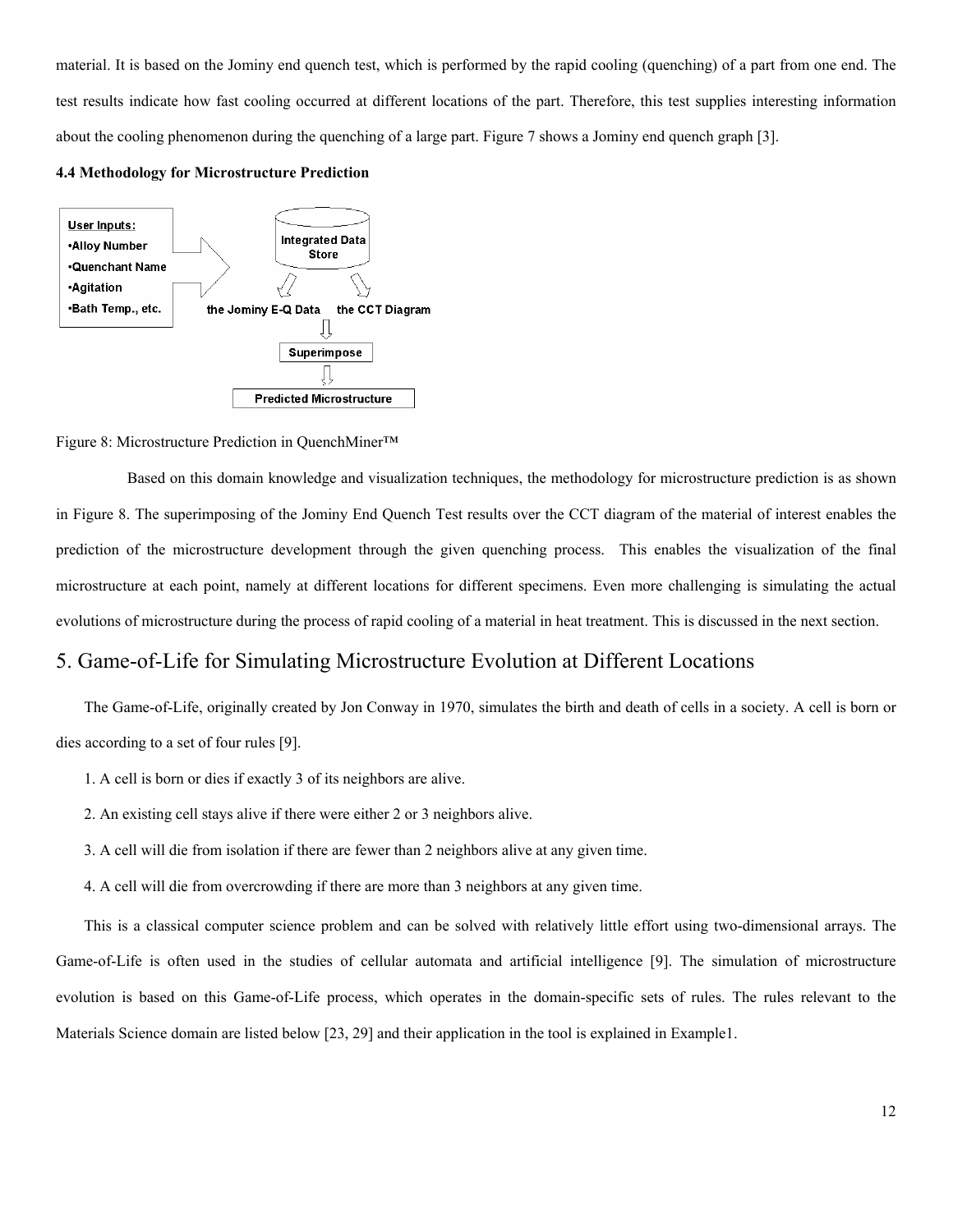material. It is based on the Jominy end quench test, which is performed by the rapid cooling (quenching) of a part from one end. The test results indicate how fast cooling occurred at different locations of the part. Therefore, this test supplies interesting information about the cooling phenomenon during the quenching of a large part. Figure 7 shows a Jominy end quench graph [3].

#### **4.4 Methodology for Microstructure Prediction**



#### Figure 8: Microstructure Prediction in QuenchMiner™

 Based on this domain knowledge and visualization techniques, the methodology for microstructure prediction is as shown in Figure 8. The superimposing of the Jominy End Quench Test results over the CCT diagram of the material of interest enables the prediction of the microstructure development through the given quenching process. This enables the visualization of the final microstructure at each point, namely at different locations for different specimens. Even more challenging is simulating the actual evolutions of microstructure during the process of rapid cooling of a material in heat treatment. This is discussed in the next section.

## 5. Game-of-Life for Simulating Microstructure Evolution at Different Locations

The Game-of-Life, originally created by Jon Conway in 1970, simulates the birth and death of cells in a society. A cell is born or dies according to a set of four rules [9].

- 1. A cell is born or dies if exactly 3 of its neighbors are alive.
- 2. An existing cell stays alive if there were either 2 or 3 neighbors alive.
- 3. A cell will die from isolation if there are fewer than 2 neighbors alive at any given time.
- 4. A cell will die from overcrowding if there are more than 3 neighbors at any given time.

This is a classical computer science problem and can be solved with relatively little effort using two-dimensional arrays. The Game-of-Life is often used in the studies of cellular automata and artificial intelligence [9]. The simulation of microstructure evolution is based on this Game-of-Life process, which operates in the domain-specific sets of rules. The rules relevant to the Materials Science domain are listed below [23, 29] and their application in the tool is explained in Example1.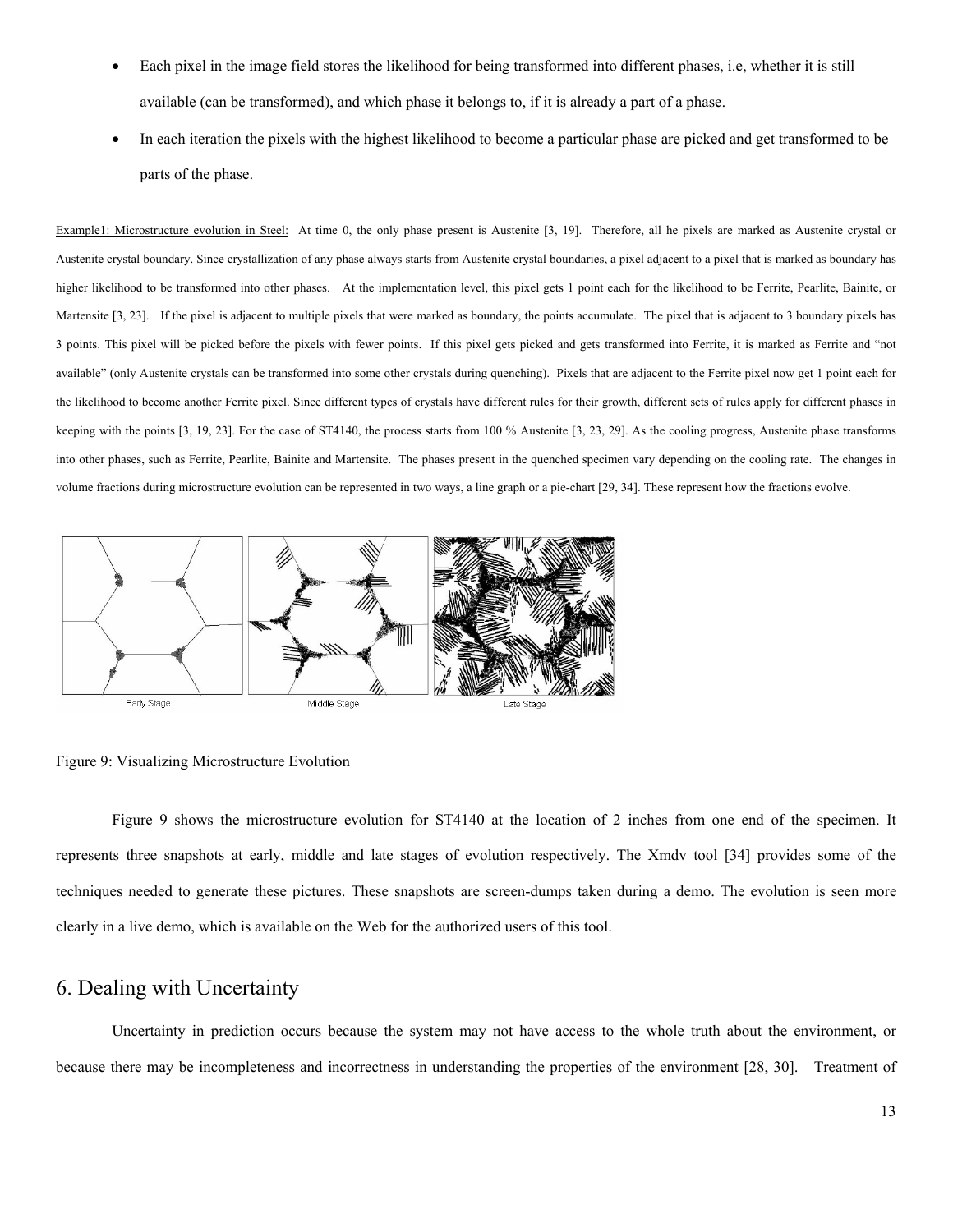- Each pixel in the image field stores the likelihood for being transformed into different phases, i.e, whether it is still available (can be transformed), and which phase it belongs to, if it is already a part of a phase.
- In each iteration the pixels with the highest likelihood to become a particular phase are picked and get transformed to be parts of the phase.

Example1: Microstructure evolution in Steel: At time 0, the only phase present is Austenite [3, 19]. Therefore, all he pixels are marked as Austenite crystal or Austenite crystal boundary. Since crystallization of any phase always starts from Austenite crystal boundaries, a pixel adjacent to a pixel that is marked as boundary has higher likelihood to be transformed into other phases. At the implementation level, this pixel gets 1 point each for the likelihood to be Ferrite, Pearlite, Bainite, or Martensite [3, 23]. If the pixel is adjacent to multiple pixels that were marked as boundary, the points accumulate. The pixel that is adjacent to 3 boundary pixels has 3 points. This pixel will be picked before the pixels with fewer points. If this pixel gets picked and gets transformed into Ferrite, it is marked as Ferrite and "not available" (only Austenite crystals can be transformed into some other crystals during quenching). Pixels that are adjacent to the Ferrite pixel now get 1 point each for the likelihood to become another Ferrite pixel. Since different types of crystals have different rules for their growth, different sets of rules apply for different phases in keeping with the points [3, 19, 23]. For the case of ST4140, the process starts from 100 % Austenite [3, 23, 29]. As the cooling progress, Austenite phase transforms into other phases, such as Ferrite, Pearlite, Bainite and Martensite. The phases present in the quenched specimen vary depending on the cooling rate. The changes in volume fractions during microstructure evolution can be represented in two ways, a line graph or a pie-chart [29, 34]. These represent how the fractions evolve.



Figure 9: Visualizing Microstructure Evolution

Figure 9 shows the microstructure evolution for ST4140 at the location of 2 inches from one end of the specimen. It represents three snapshots at early, middle and late stages of evolution respectively. The Xmdv tool [34] provides some of the techniques needed to generate these pictures. These snapshots are screen-dumps taken during a demo. The evolution is seen more clearly in a live demo, which is available on the Web for the authorized users of this tool.

## 6. Dealing with Uncertainty

Uncertainty in prediction occurs because the system may not have access to the whole truth about the environment, or because there may be incompleteness and incorrectness in understanding the properties of the environment [28, 30]. Treatment of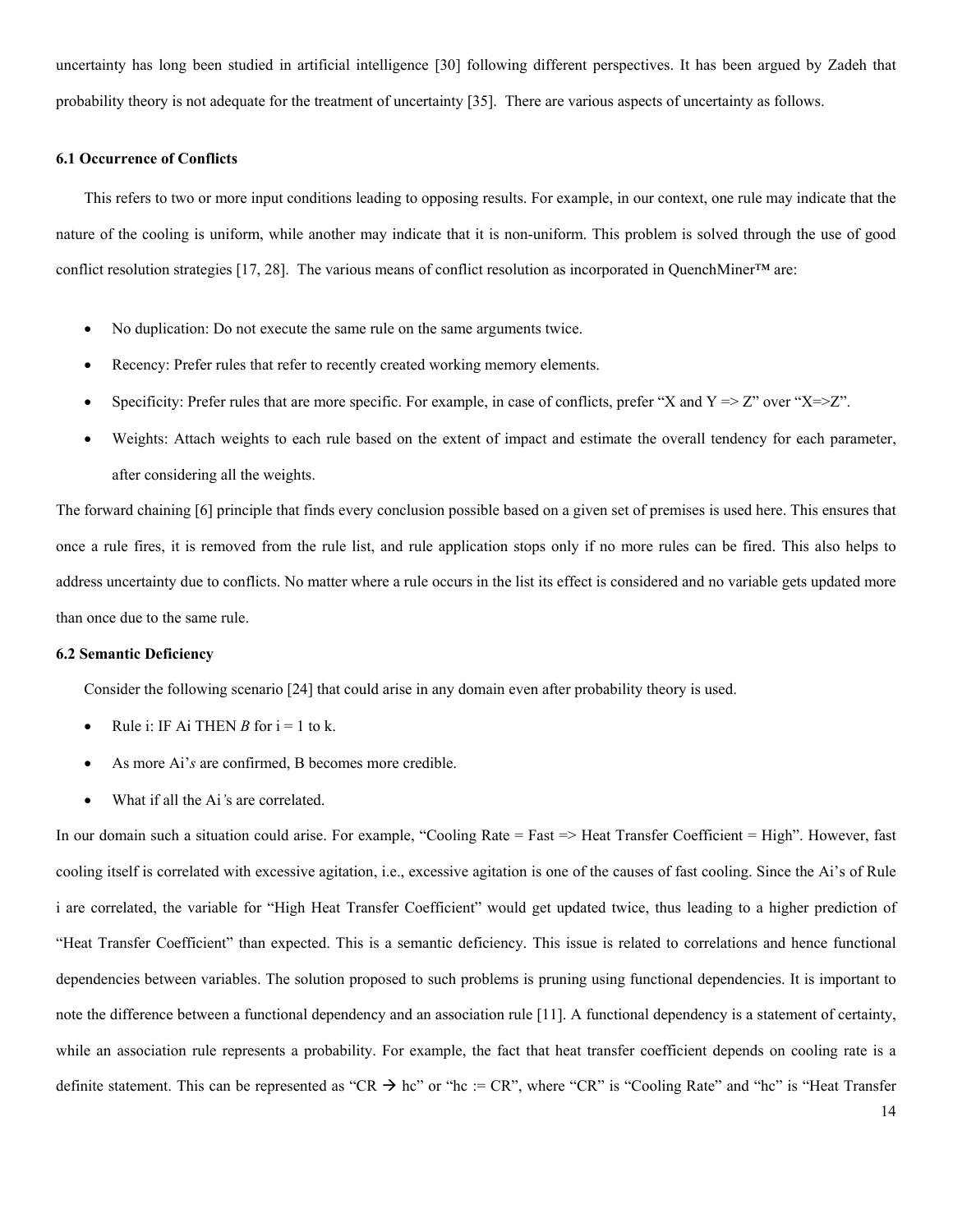uncertainty has long been studied in artificial intelligence [30] following different perspectives. It has been argued by Zadeh that probability theory is not adequate for the treatment of uncertainty [35]. There are various aspects of uncertainty as follows.

#### **6.1 Occurrence of Conflicts**

This refers to two or more input conditions leading to opposing results. For example, in our context, one rule may indicate that the nature of the cooling is uniform, while another may indicate that it is non-uniform. This problem is solved through the use of good conflict resolution strategies [17, 28]. The various means of conflict resolution as incorporated in QuenchMiner™ are:

- No duplication: Do not execute the same rule on the same arguments twice.
- Recency: Prefer rules that refer to recently created working memory elements.
- Specificity: Prefer rules that are more specific. For example, in case of conflicts, prefer "X and  $Y = \geq Z$ " over "X= $\geq Z$ ".
- Weights: Attach weights to each rule based on the extent of impact and estimate the overall tendency for each parameter, after considering all the weights.

The forward chaining [6] principle that finds every conclusion possible based on a given set of premises is used here. This ensures that once a rule fires, it is removed from the rule list, and rule application stops only if no more rules can be fired. This also helps to address uncertainty due to conflicts. No matter where a rule occurs in the list its effect is considered and no variable gets updated more than once due to the same rule.

#### **6.2 Semantic Deficiency**

Consider the following scenario [24] that could arise in any domain even after probability theory is used.

- Rule i: IF Ai THEN *B* for  $i = 1$  to k.
- As more Ai'*s* are confirmed, B becomes more credible.
- What if all the Ai*'*s are correlated.

In our domain such a situation could arise. For example, "Cooling Rate = Fast => Heat Transfer Coefficient = High". However, fast cooling itself is correlated with excessive agitation, i.e., excessive agitation is one of the causes of fast cooling. Since the Ai's of Rule i are correlated, the variable for "High Heat Transfer Coefficient" would get updated twice, thus leading to a higher prediction of "Heat Transfer Coefficient" than expected. This is a semantic deficiency. This issue is related to correlations and hence functional dependencies between variables. The solution proposed to such problems is pruning using functional dependencies. It is important to note the difference between a functional dependency and an association rule [11]. A functional dependency is a statement of certainty, while an association rule represents a probability. For example, the fact that heat transfer coefficient depends on cooling rate is a definite statement. This can be represented as "CR  $\rightarrow$  hc" or "hc := CR", where "CR" is "Cooling Rate" and "hc" is "Heat Transfer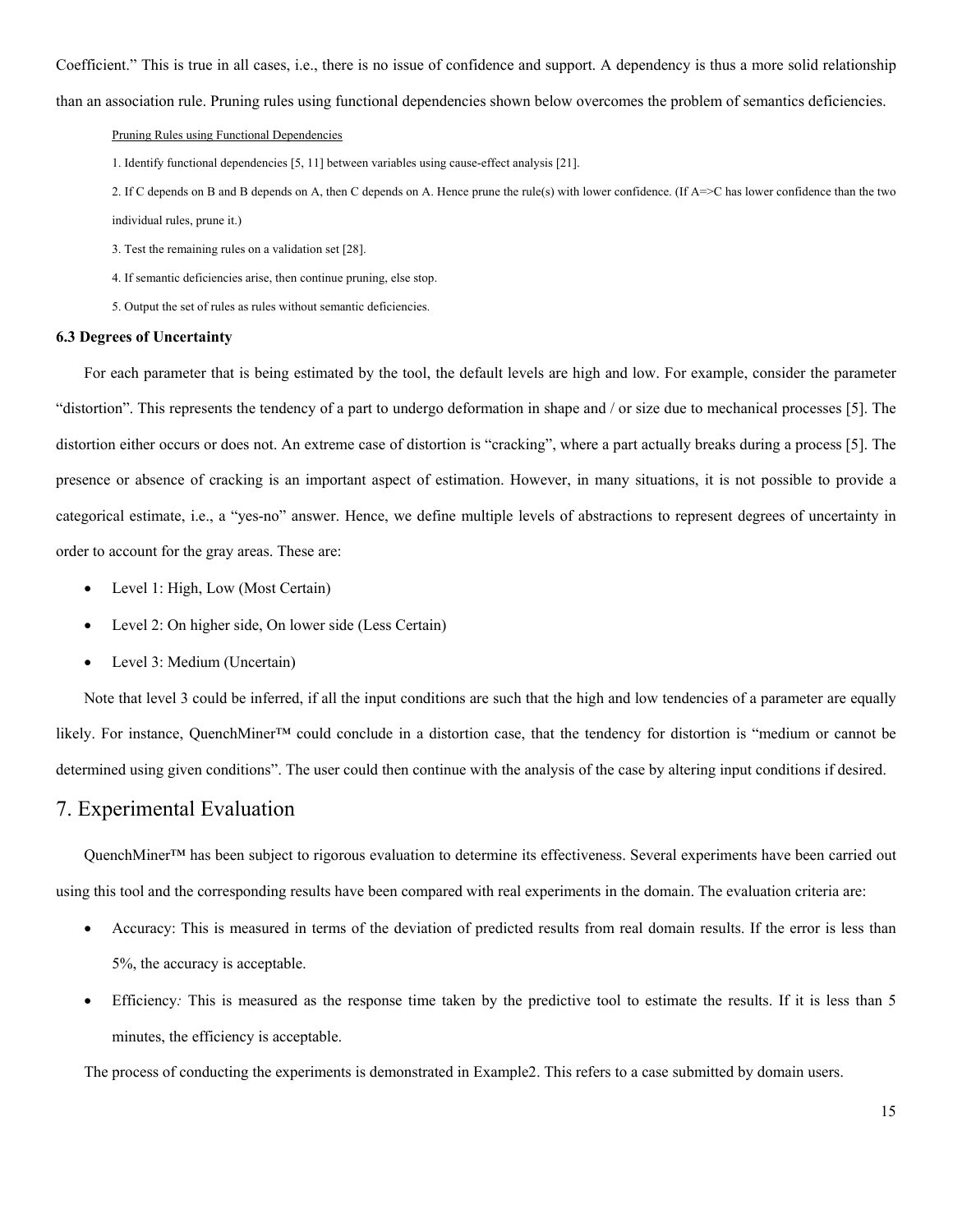Coefficient." This is true in all cases, i.e., there is no issue of confidence and support. A dependency is thus a more solid relationship

than an association rule. Pruning rules using functional dependencies shown below overcomes the problem of semantics deficiencies.

#### Pruning Rules using Functional Dependencies

1. Identify functional dependencies [5, 11] between variables using cause-effect analysis [21].

2. If C depends on B and B depends on A, then C depends on A. Hence prune the rule(s) with lower confidence. (If A=>C has lower confidence than the two individual rules, prune it.)

3. Test the remaining rules on a validation set [28].

4. If semantic deficiencies arise, then continue pruning, else stop.

5. Output the set of rules as rules without semantic deficiencies.

#### **6.3 Degrees of Uncertainty**

For each parameter that is being estimated by the tool, the default levels are high and low. For example, consider the parameter "distortion". This represents the tendency of a part to undergo deformation in shape and / or size due to mechanical processes [5]. The distortion either occurs or does not. An extreme case of distortion is "cracking", where a part actually breaks during a process [5]. The presence or absence of cracking is an important aspect of estimation. However, in many situations, it is not possible to provide a categorical estimate, i.e., a "yes-no" answer. Hence, we define multiple levels of abstractions to represent degrees of uncertainty in order to account for the gray areas. These are:

- Level 1: High, Low (Most Certain)
- Level 2: On higher side, On lower side (Less Certain)
- Level 3: Medium (Uncertain)

Note that level 3 could be inferred, if all the input conditions are such that the high and low tendencies of a parameter are equally likely. For instance, QuenchMiner™ could conclude in a distortion case, that the tendency for distortion is "medium or cannot be determined using given conditions". The user could then continue with the analysis of the case by altering input conditions if desired.

## 7. Experimental Evaluation

QuenchMiner™ has been subject to rigorous evaluation to determine its effectiveness. Several experiments have been carried out using this tool and the corresponding results have been compared with real experiments in the domain. The evaluation criteria are:

- Accuracy: This is measured in terms of the deviation of predicted results from real domain results. If the error is less than 5%, the accuracy is acceptable.
- Efficiency: This is measured as the response time taken by the predictive tool to estimate the results. If it is less than 5 minutes, the efficiency is acceptable.

The process of conducting the experiments is demonstrated in Example2. This refers to a case submitted by domain users.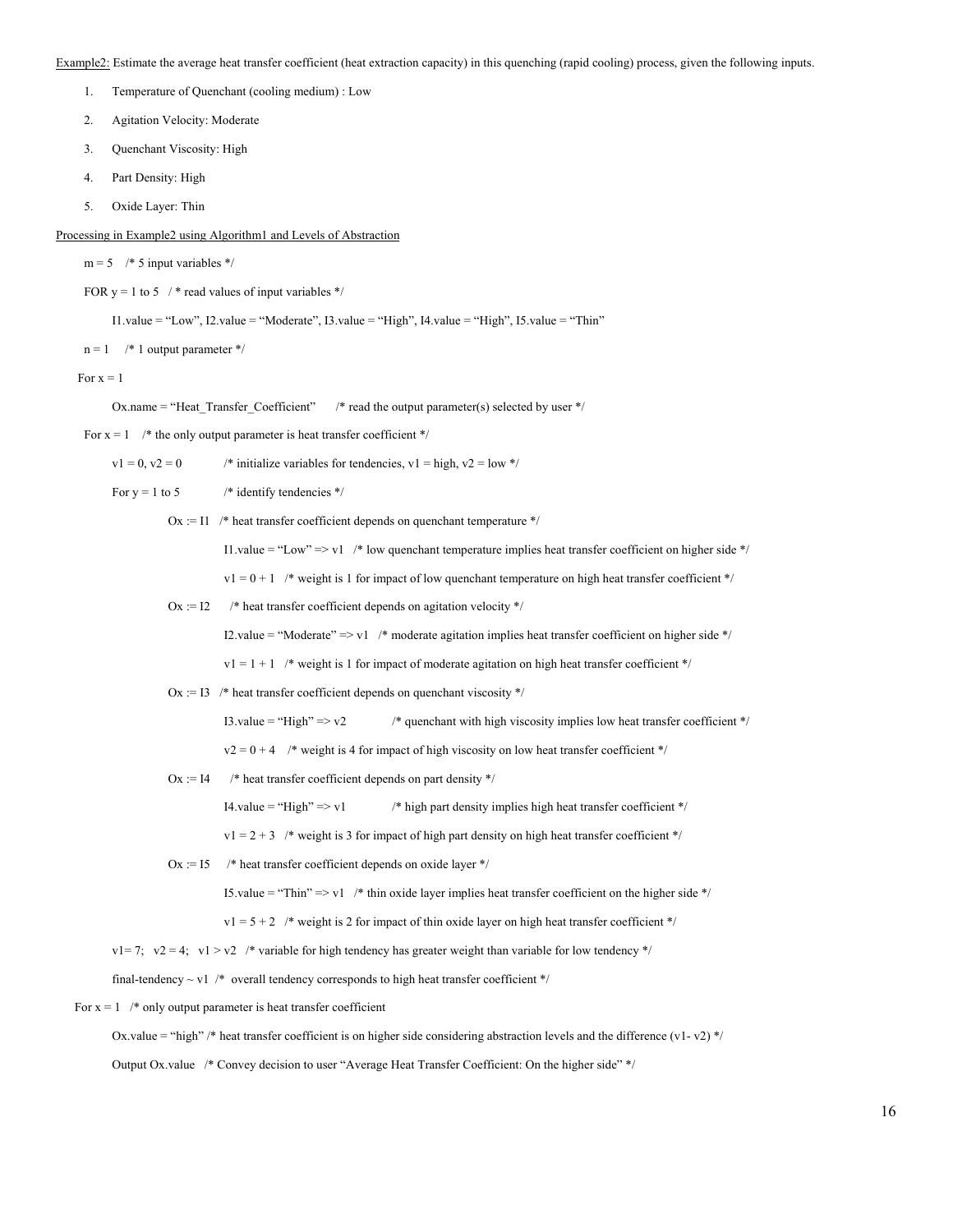Example2: Estimate the average heat transfer coefficient (heat extraction capacity) in this quenching (rapid cooling) process, given the following inputs.

- 1. Temperature of Quenchant (cooling medium) : Low
- 2. Agitation Velocity: Moderate
- 3. Quenchant Viscosity: High
- 4. Part Density: High
- 5. Oxide Layer: Thin

Processing in Example2 using Algorithm1 and Levels of Abstraction

 $m = 5$  /\* 5 input variables \*/

FOR  $y = 1$  to 5 /\* read values of input variables \*/

 $I1$ .value = "Low",  $I2$ .value = "Moderate",  $I3$ .value = "High",  $I4$ .value = "High",  $I5$ .value = "Thin"

 $n = 1$  /\* 1 output parameter \*/

For  $x = 1$ 

Ox.name = "Heat Transfer Coefficient" /\* read the output parameter(s) selected by user \*/

For  $x = 1$  /\* the only output parameter is heat transfer coefficient \*/

 $v1 = 0$ ,  $v2 = 0$  /\* initialize variables for tendencies,  $v1 =$  high,  $v2 =$  low \*/

For  $y = 1$  to 5 /\* identify tendencies \*/

 $Ox := 11$  /\* heat transfer coefficient depends on quenchant temperature \*/

I1.value = "Low" => v1 /\* low quenchant temperature implies heat transfer coefficient on higher side \*/

 $v1 = 0 + 1$  /\* weight is 1 for impact of low quenchant temperature on high heat transfer coefficient \*/

 $Ox := I2$  /\* heat transfer coefficient depends on agitation velocity \*/

I2.value = "Moderate" => v1 /\* moderate agitation implies heat transfer coefficient on higher side \*/

 $v1 = 1 + 1$  /\* weight is 1 for impact of moderate agitation on high heat transfer coefficient \*/

 $Ox := 13$  /\* heat transfer coefficient depends on quenchant viscosity \*/

I3.value = "High" => $v2$  /\* quenchant with high viscosity implies low heat transfer coefficient \*/

 $v2 = 0 + 4$  /\* weight is 4 for impact of high viscosity on low heat transfer coefficient \*/

Ox := I4  $\quad$  /\* heat transfer coefficient depends on part density \*/

I4.value = "High"  $\Rightarrow$  v1 /\* high part density implies high heat transfer coefficient \*/

 $v1 = 2 + 3$  /\* weight is 3 for impact of high part density on high heat transfer coefficient \*/

Ox :=  $15$  /\* heat transfer coefficient depends on oxide layer \*/

I5.value = "Thin"  $\Rightarrow$  v1 /\* thin oxide layer implies heat transfer coefficient on the higher side \*/

 $v1 = 5 + 2$  /\* weight is 2 for impact of thin oxide layer on high heat transfer coefficient \*/

 $v1= 7$ ;  $v2 = 4$ ;  $v1 > v2$  /\* variable for high tendency has greater weight than variable for low tendency \*/

final-tendency  $\sim$  v1 /\* overall tendency corresponds to high heat transfer coefficient \*/

For  $x = 1$  /\* only output parameter is heat transfer coefficient

Ox.value = "high" /\* heat transfer coefficient is on higher side considering abstraction levels and the difference (v1- v2) \*/

Output Ox.value /\* Convey decision to user "Average Heat Transfer Coefficient: On the higher side" \*/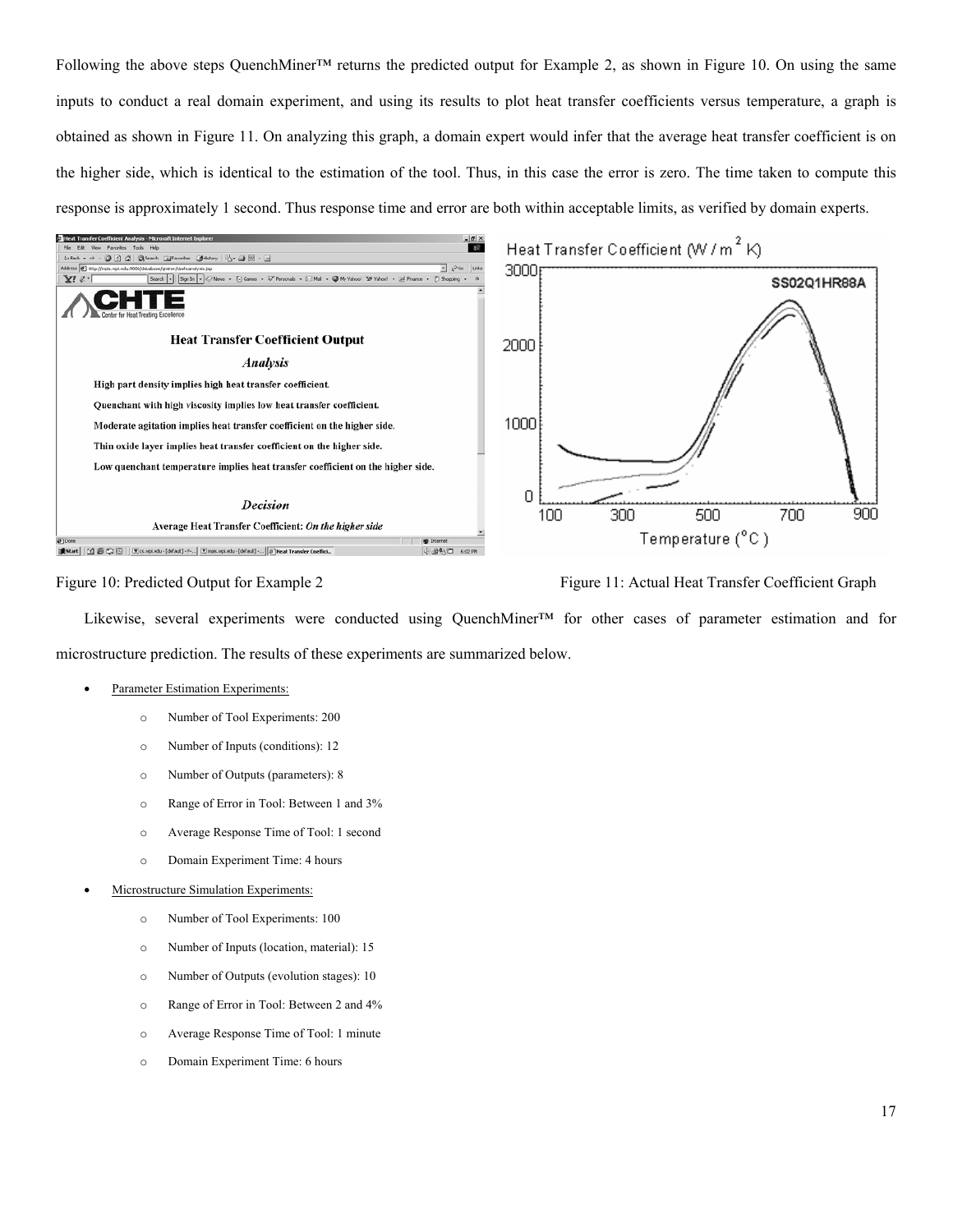Following the above steps QuenchMiner<sup>™</sup> returns the predicted output for Example 2, as shown in Figure 10. On using the same inputs to conduct a real domain experiment, and using its results to plot heat transfer coefficients versus temperature, a graph is obtained as shown in Figure 11. On analyzing this graph, a domain expert would infer that the average heat transfer coefficient is on the higher side, which is identical to the estimation of the tool. Thus, in this case the error is zero. The time taken to compute this response is approximately 1 second. Thus response time and error are both within acceptable limits, as verified by domain experts.



Figure 10: Predicted Output for Example 2 Figure 11: Actual Heat Transfer Coefficient Graph

Likewise, several experiments were conducted using QuenchMiner™ for other cases of parameter estimation and for microstructure prediction. The results of these experiments are summarized below.

#### Parameter Estimation Experiments:

- o Number of Tool Experiments: 200
- o Number of Inputs (conditions): 12
- o Number of Outputs (parameters): 8
- o Range of Error in Tool: Between 1 and 3%
- o Average Response Time of Tool: 1 second
- o Domain Experiment Time: 4 hours
- Microstructure Simulation Experiments:
	- o Number of Tool Experiments: 100
	- o Number of Inputs (location, material): 15
	- o Number of Outputs (evolution stages): 10
	- o Range of Error in Tool: Between 2 and 4%
	- o Average Response Time of Tool: 1 minute
	- o Domain Experiment Time: 6 hours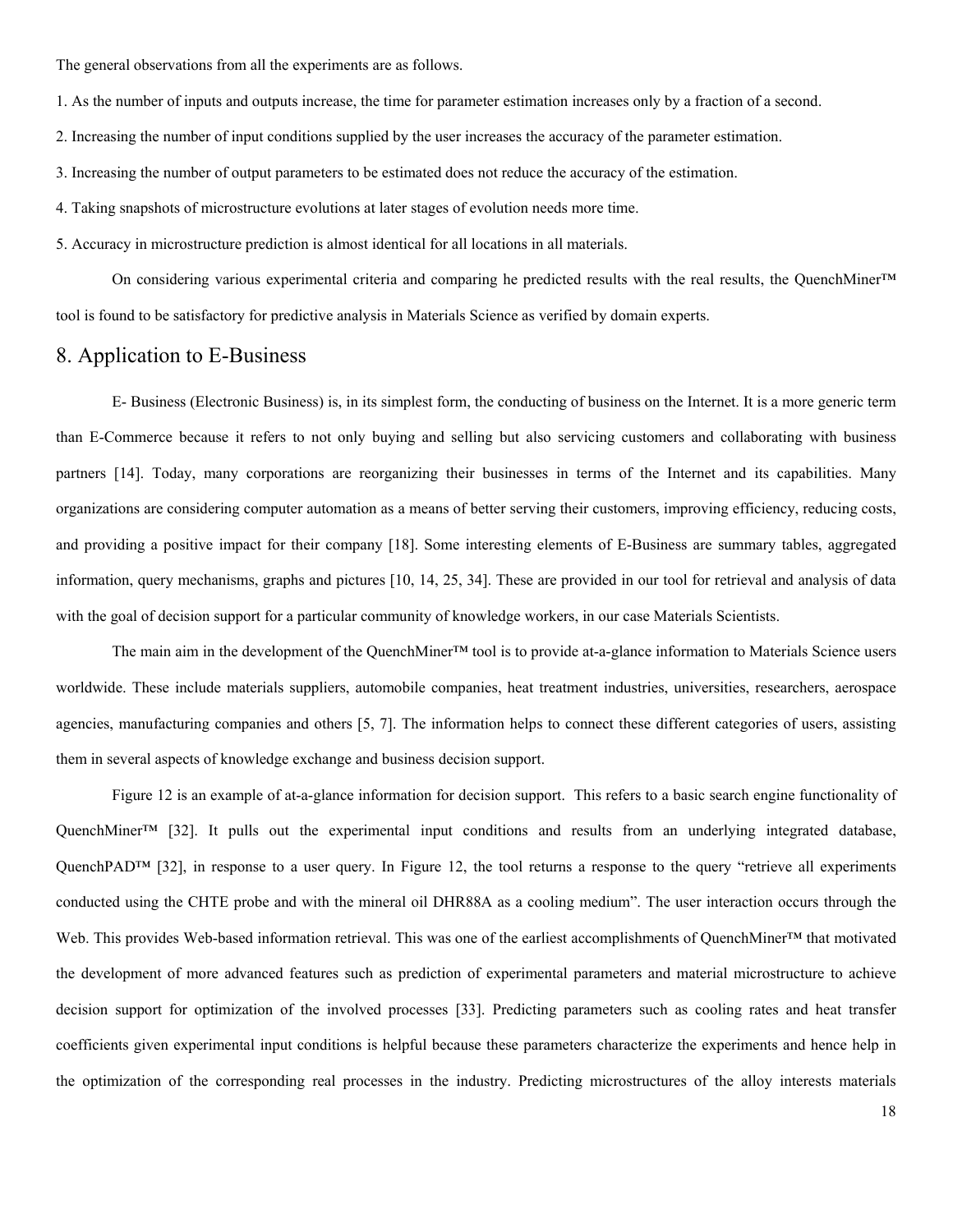The general observations from all the experiments are as follows.

1. As the number of inputs and outputs increase, the time for parameter estimation increases only by a fraction of a second.

- 2. Increasing the number of input conditions supplied by the user increases the accuracy of the parameter estimation.
- 3. Increasing the number of output parameters to be estimated does not reduce the accuracy of the estimation.
- 4. Taking snapshots of microstructure evolutions at later stages of evolution needs more time.
- 5. Accuracy in microstructure prediction is almost identical for all locations in all materials.

On considering various experimental criteria and comparing he predicted results with the real results, the QuenchMiner™ tool is found to be satisfactory for predictive analysis in Materials Science as verified by domain experts.

## 8. Application to E-Business

E- Business (Electronic Business) is, in its simplest form, the conducting of business on the Internet. It is a more generic term than E-Commerce because it refers to not only buying and selling but also servicing customers and collaborating with business partners [14]. Today, many corporations are reorganizing their businesses in terms of the Internet and its capabilities. Many organizations are considering computer automation as a means of better serving their customers, improving efficiency, reducing costs, and providing a positive impact for their company [18]. Some interesting elements of E-Business are summary tables, aggregated information, query mechanisms, graphs and pictures [10, 14, 25, 34]. These are provided in our tool for retrieval and analysis of data with the goal of decision support for a particular community of knowledge workers, in our case Materials Scientists.

The main aim in the development of the QuenchMiner™ tool is to provide at-a-glance information to Materials Science users worldwide. These include materials suppliers, automobile companies, heat treatment industries, universities, researchers, aerospace agencies, manufacturing companies and others [5, 7]. The information helps to connect these different categories of users, assisting them in several aspects of knowledge exchange and business decision support.

Figure 12 is an example of at-a-glance information for decision support. This refers to a basic search engine functionality of QuenchMiner™ [32]. It pulls out the experimental input conditions and results from an underlying integrated database, QuenchPAD<sup>™</sup> [32], in response to a user query. In Figure 12, the tool returns a response to the query "retrieve all experiments conducted using the CHTE probe and with the mineral oil DHR88A as a cooling medium". The user interaction occurs through the Web. This provides Web-based information retrieval. This was one of the earliest accomplishments of OuenchMiner™ that motivated the development of more advanced features such as prediction of experimental parameters and material microstructure to achieve decision support for optimization of the involved processes [33]. Predicting parameters such as cooling rates and heat transfer coefficients given experimental input conditions is helpful because these parameters characterize the experiments and hence help in the optimization of the corresponding real processes in the industry. Predicting microstructures of the alloy interests materials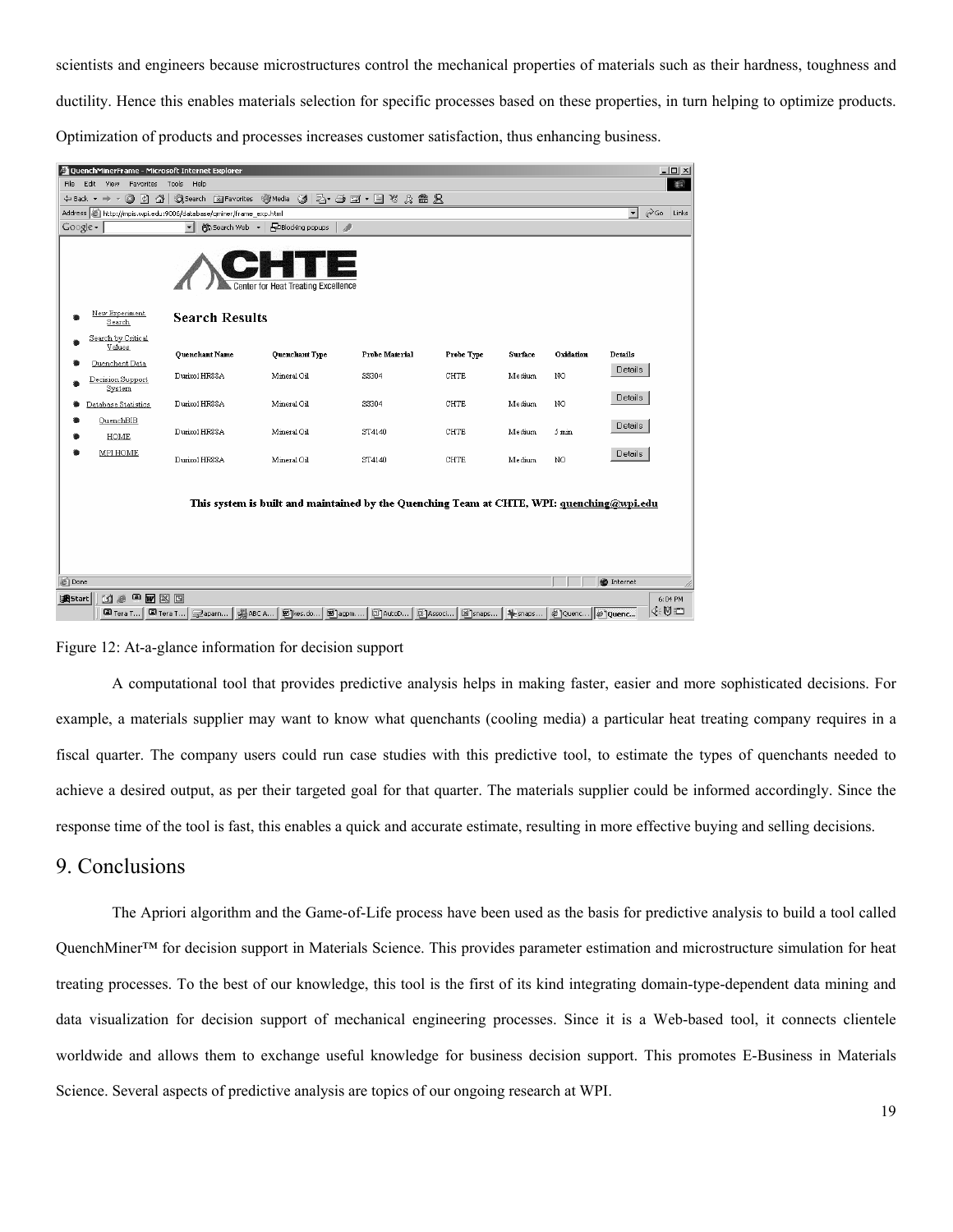scientists and engineers because microstructures control the mechanical properties of materials such as their hardness, toughness and ductility. Hence this enables materials selection for specific processes based on these properties, in turn helping to optimize products. Optimization of products and processes increases customer satisfaction, thus enhancing business.

| QuenchMinerFrame - Microsoft Internet Explorer                                                                                                                                        |                       |                         |                          |                   |         |           |         | $-10 \times$ |  |  |  |  |
|---------------------------------------------------------------------------------------------------------------------------------------------------------------------------------------|-----------------------|-------------------------|--------------------------|-------------------|---------|-----------|---------|--------------|--|--|--|--|
| 粗<br>Edit View Favorites Tools<br>File:<br>Help                                                                                                                                       |                       |                         |                          |                   |         |           |         |              |  |  |  |  |
| +Back - → - ② ② △  ③Search 画Favorites ④Media ③  25- △ ゴ・目 × ☆ 孟 兄                                                                                                                     |                       |                         |                          |                   |         |           |         |              |  |  |  |  |
| $\partial$ Go<br>Address @ http://mpis.wpi.edu:9006/database/qminer/frame_exp.html<br>$\mathbf{r}$<br>Links                                                                           |                       |                         |                          |                   |         |           |         |              |  |  |  |  |
| $Google -$                                                                                                                                                                            | 除Search Web ▼<br>▾║   | <b>PBlocking popups</b> | $\overline{\mathscr{L}}$ |                   |         |           |         |              |  |  |  |  |
| <b>Center for Heat Treating Excellence</b>                                                                                                                                            |                       |                         |                          |                   |         |           |         |              |  |  |  |  |
| New Experiment<br>Search                                                                                                                                                              | <b>Search Results</b> |                         |                          |                   |         |           |         |              |  |  |  |  |
| Search by Critical<br>Values                                                                                                                                                          | <b>Quenchant Name</b> | Quenchant Type          | Probe Material           | <b>Probe Type</b> | Surface | Oxidation | Details |              |  |  |  |  |
| Quenchant Data                                                                                                                                                                        |                       |                         |                          |                   |         |           | Details |              |  |  |  |  |
| Decision Support<br>System                                                                                                                                                            | Durixol HR88A         | Mineral Oil             | SS304                    | <b>CHTE</b>       | Medium  | NO.       |         |              |  |  |  |  |
| Database Statistics                                                                                                                                                                   | Durixol HR88A         | Mineral Oil             | SS304                    | <b>CHTE</b>       | Medium  | NO.       | Details |              |  |  |  |  |
| QuenchBIB                                                                                                                                                                             | Durixol HR88A         | Mineral Oil             | ST4140                   | <b>CHTE</b>       | Medium  | 5 min     | Details |              |  |  |  |  |
| HOME                                                                                                                                                                                  |                       |                         |                          |                   |         |           |         |              |  |  |  |  |
| MPI HOME                                                                                                                                                                              | Durixol HR88A         | Mineral Oil             | ST4140                   | <b>CHTE</b>       | Medium  | NO.       | Details |              |  |  |  |  |
| This system is built and maintained by the Quenching Team at CHTE, WPI: quenching@wpi.edu<br><b>O</b> Internet<br>Done<br><b>W</b> X E<br><b>過Start</b><br>▣<br><b>Kie</b><br>6:04 PM |                       |                         |                          |                   |         |           |         |              |  |  |  |  |
| ⊕U⊫                                                                                                                                                                                   |                       |                         |                          |                   |         |           |         |              |  |  |  |  |
| 国 Tera T<br>snaps<br>Spessed & Quenc 21 Quenc<br>国 Tera T<br>调ABC A<br>图 kes.do 图 agpm<br>回 AutoD<br>回 Associ<br>Paparn                                                               |                       |                         |                          |                   |         |           |         |              |  |  |  |  |

#### Figure 12: At-a-glance information for decision support

A computational tool that provides predictive analysis helps in making faster, easier and more sophisticated decisions. For example, a materials supplier may want to know what quenchants (cooling media) a particular heat treating company requires in a fiscal quarter. The company users could run case studies with this predictive tool, to estimate the types of quenchants needed to achieve a desired output, as per their targeted goal for that quarter. The materials supplier could be informed accordingly. Since the response time of the tool is fast, this enables a quick and accurate estimate, resulting in more effective buying and selling decisions.

## 9. Conclusions

The Apriori algorithm and the Game-of-Life process have been used as the basis for predictive analysis to build a tool called QuenchMiner™ for decision support in Materials Science. This provides parameter estimation and microstructure simulation for heat treating processes. To the best of our knowledge, this tool is the first of its kind integrating domain-type-dependent data mining and data visualization for decision support of mechanical engineering processes. Since it is a Web-based tool, it connects clientele worldwide and allows them to exchange useful knowledge for business decision support. This promotes E-Business in Materials Science. Several aspects of predictive analysis are topics of our ongoing research at WPI.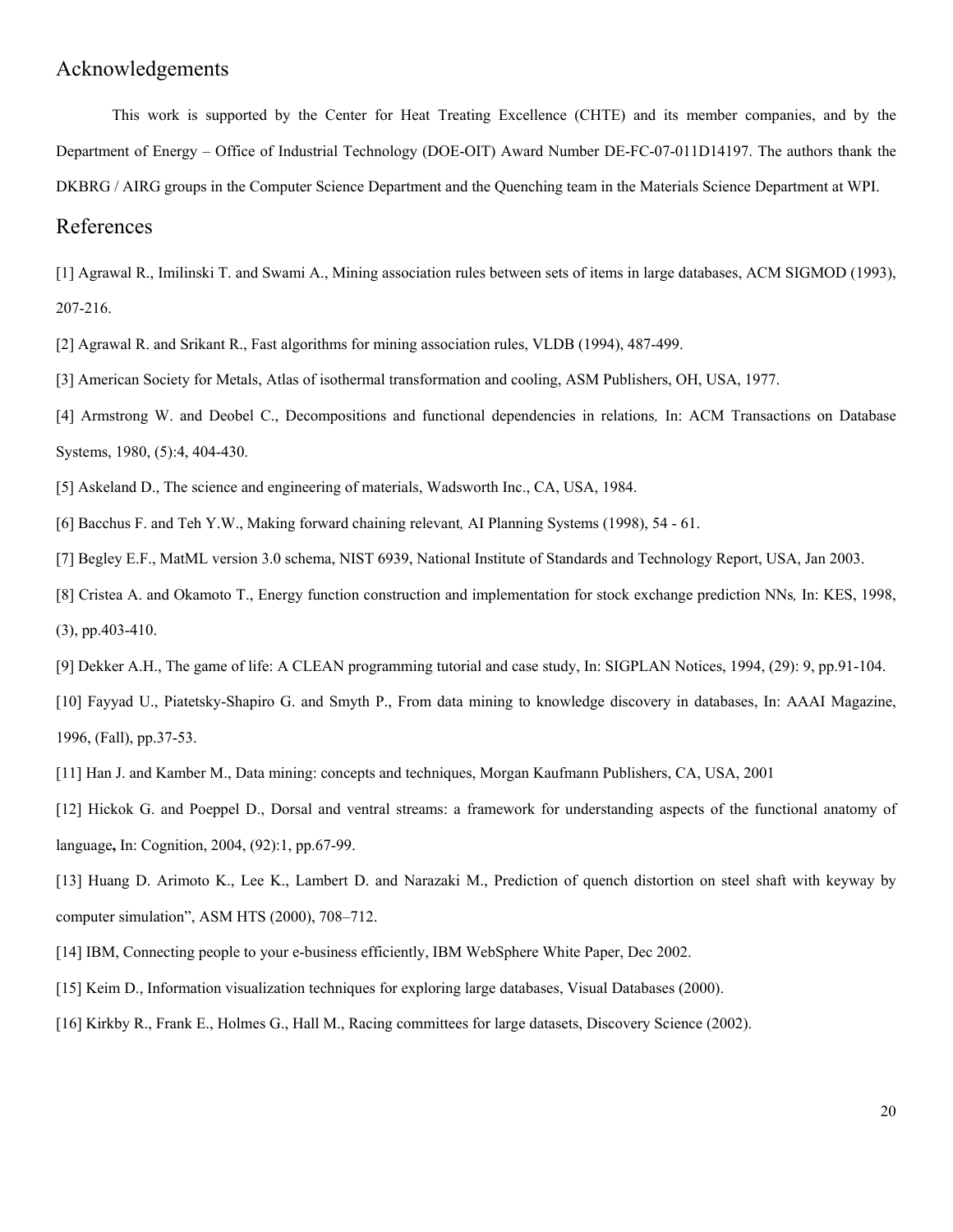## Acknowledgements

This work is supported by the Center for Heat Treating Excellence (CHTE) and its member companies, and by the Department of Energy – Office of Industrial Technology (DOE-OIT) Award Number DE-FC-07-011D14197. The authors thank the DKBRG / AIRG groups in the Computer Science Department and the Quenching team in the Materials Science Department at WPI.

## References

[1] Agrawal R., Imilinski T. and Swami A., Mining association rules between sets of items in large databases, ACM SIGMOD (1993), 207-216.

[2] Agrawal R. and Srikant R., Fast algorithms for mining association rules, VLDB (1994), 487-499.

[3] American Society for Metals, Atlas of isothermal transformation and cooling, ASM Publishers, OH, USA, 1977.

[4] Armstrong W. and Deobel C., Decompositions and functional dependencies in relations*,* In: ACM Transactions on Database Systems, 1980, (5):4, 404-430.

[5] Askeland D., The science and engineering of materials, Wadsworth Inc., CA, USA, 1984.

[6] Bacchus F. and Teh Y.W., Making forward chaining relevant*,* AI Planning Systems (1998), 54 - 61.

[7] Begley E.F., MatML version 3.0 schema, NIST 6939, National Institute of Standards and Technology Report, USA, Jan 2003.

[8] Cristea A. and Okamoto T., Energy function construction and implementation for stock exchange prediction NNs*,* In: KES, 1998, (3), pp.403-410.

[9] Dekker A.H., The game of life: A CLEAN programming tutorial and case study, In: SIGPLAN Notices, 1994, (29): 9, pp.91-104.

[10] Fayyad U., Piatetsky-Shapiro G. and Smyth P., From data mining to knowledge discovery in databases, In: AAAI Magazine, 1996, (Fall), pp.37-53.

[11] Han J. and Kamber M., Data mining: concepts and techniques, Morgan Kaufmann Publishers, CA, USA, 2001

[12] Hickok G. and Poeppel D., Dorsal and ventral streams: a framework for understanding aspects of the functional anatomy of language**,** In: Cognition, 2004, (92):1, pp.67-99.

[13] Huang D. Arimoto K., Lee K., Lambert D. and Narazaki M., Prediction of quench distortion on steel shaft with keyway by computer simulation", ASM HTS (2000), 708–712.

[14] IBM, Connecting people to your e-business efficiently, IBM WebSphere White Paper, Dec 2002.

- [15] Keim D., Information visualization techniques for exploring large databases, Visual Databases (2000).
- [16] Kirkby R., Frank E., Holmes G., Hall M., Racing committees for large datasets, Discovery Science (2002).